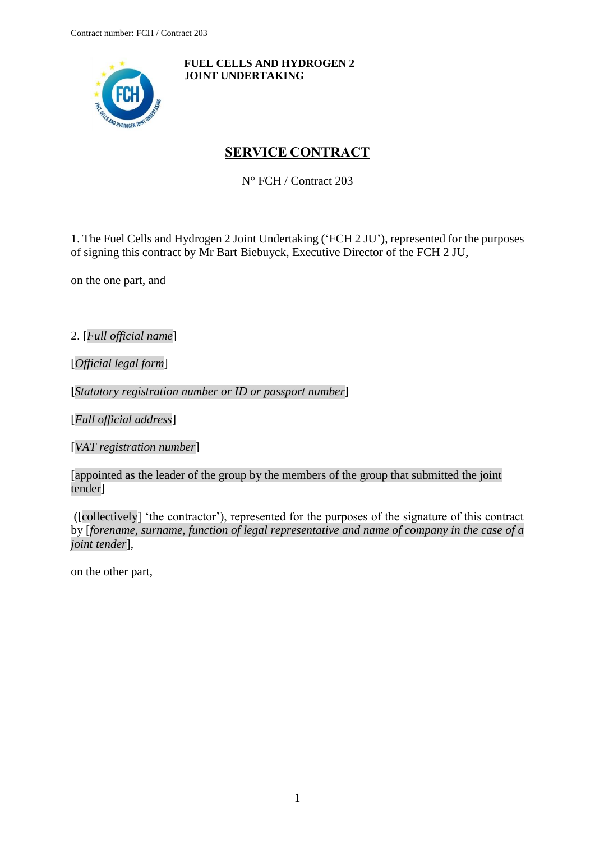<span id="page-0-0"></span>

**FUEL CELLS AND HYDROGEN 2 JOINT UNDERTAKING**

# **SERVICE CONTRACT**

N° FCH / Contract 203

1. The Fuel Cells and Hydrogen 2 Joint Undertaking ('FCH 2 JU'), represented for the purposes of signing this contract by Mr Bart Biebuyck, Executive Director of the FCH 2 JU,

on the one part, and

2. [*Full official name*]

[*Official legal form*]

**[***Statutory registration number or ID or passport number***]**

[*Full official address*]

[*VAT registration number*]

[appointed as the leader of the group by the members of the group that submitted the joint tender]

([collectively] 'the contractor'), represented for the purposes of the signature of this contract by [*forename, surname, function of legal representative and name of company in the case of a joint tender*],

on the other part,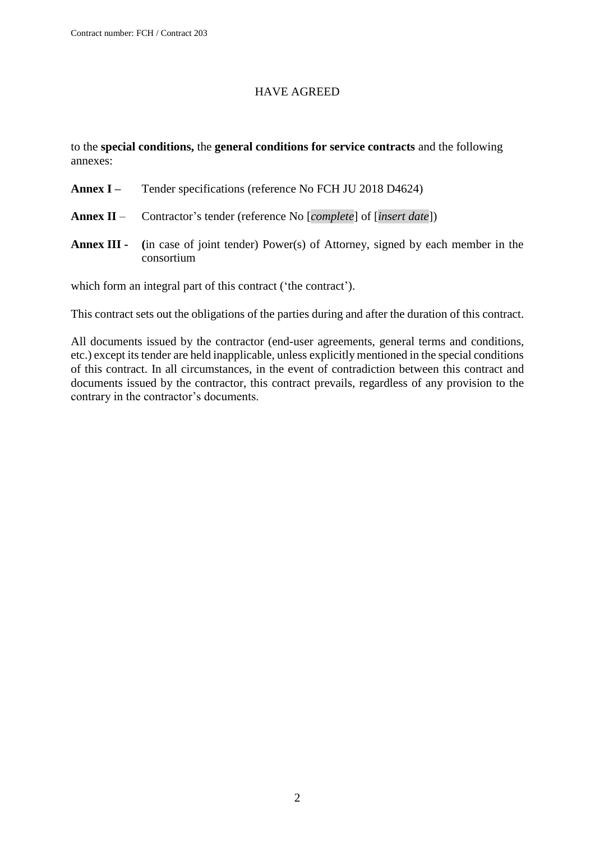### HAVE AGREED

to the **special conditions,** the **general conditions for service contracts** and the following annexes:

- **Annex I –** Tender specifications (reference No FCH JU 2018 D4624)
- **Annex II** Contractor's tender (reference No [*complete*] of [*insert date*])
- **Annex III - (**in case of joint tender) Power(s) of Attorney, signed by each member in the consortium

which form an integral part of this contract ('the contract').

This contract sets out the obligations of the parties during and after the duration of this contract.

All documents issued by the contractor (end-user agreements, general terms and conditions, etc.) except its tender are held inapplicable, unless explicitly mentioned in the special conditions of this contract. In all circumstances, in the event of contradiction between this contract and documents issued by the contractor, this contract prevails, regardless of any provision to the contrary in the contractor's documents.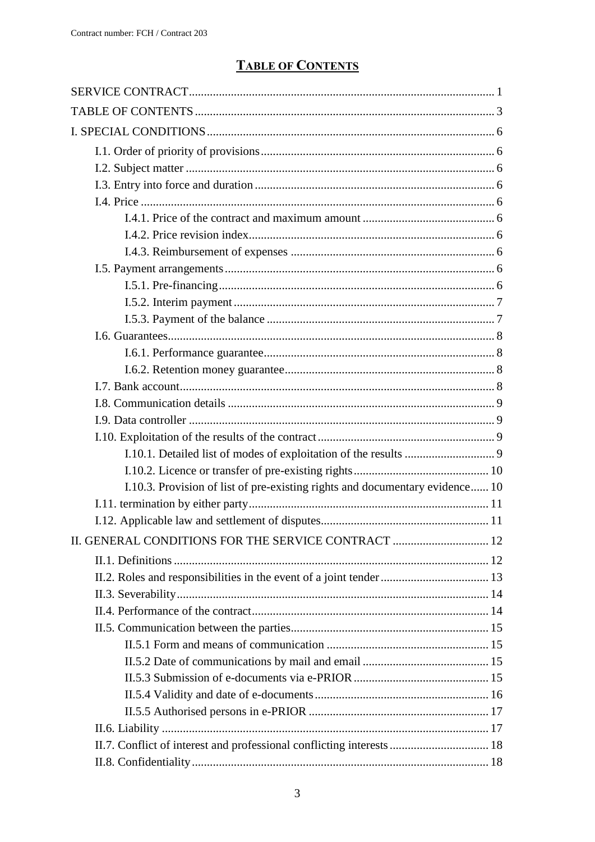# **TABLE OF CONTENTS**

<span id="page-2-0"></span>

| I.10.3. Provision of list of pre-existing rights and documentary evidence 10 |  |
|------------------------------------------------------------------------------|--|
|                                                                              |  |
|                                                                              |  |
| II. GENERAL CONDITIONS FOR THE SERVICE CONTRACT  12                          |  |
|                                                                              |  |
|                                                                              |  |
|                                                                              |  |
|                                                                              |  |
|                                                                              |  |
|                                                                              |  |
|                                                                              |  |
|                                                                              |  |
|                                                                              |  |
|                                                                              |  |
|                                                                              |  |
| II.7. Conflict of interest and professional conflicting interests  18        |  |
|                                                                              |  |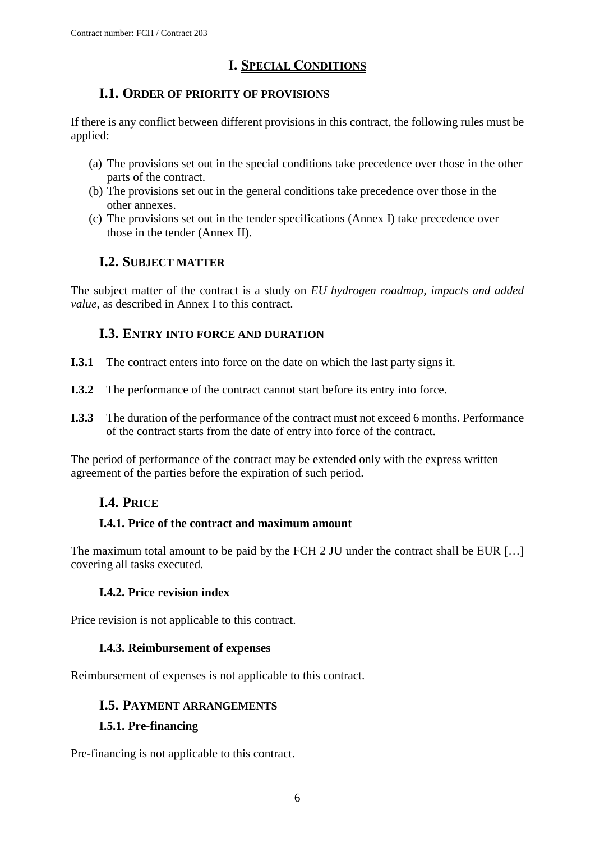# **I. SPECIAL CONDITIONS**

# <span id="page-5-0"></span>**I.1. ORDER OF PRIORITY OF PROVISIONS**

<span id="page-5-1"></span>If there is any conflict between different provisions in this contract, the following rules must be applied:

- (a) The provisions set out in the special conditions take precedence over those in the other parts of the contract.
- (b) The provisions set out in the general conditions take precedence over those in the other annexes.
- (c) The provisions set out in the tender specifications (Annex I) take precedence over those in the tender (Annex II).

# **I.2. SUBJECT MATTER**

<span id="page-5-2"></span>The subject matter of the contract is a study on *EU hydrogen roadmap, impacts and added value*, as described in Annex I to this contract.

# **I.3. ENTRY INTO FORCE AND DURATION**

- <span id="page-5-3"></span>**I.3.1** The contract enters into force on the date on which the last party signs it.
- **I.3.2** The performance of the contract cannot start before its entry into force.
- **I.3.3** The duration of the performance of the contract must not exceed 6 months. Performance of the contract starts from the date of entry into force of the contract.

<span id="page-5-4"></span>The period of performance of the contract may be extended only with the express written agreement of the parties before the expiration of such period.

# **I.4. PRICE**

# <span id="page-5-5"></span>**I.4.1. Price of the contract and maximum amount**

The maximum total amount to be paid by the FCH 2 JU under the contract shall be EUR [...] covering all tasks executed.

### **I.4.2. Price revision index**

<span id="page-5-6"></span>Price revision is not applicable to this contract.

### **I.4.3. Reimbursement of expenses**

<span id="page-5-8"></span><span id="page-5-7"></span>Reimbursement of expenses is not applicable to this contract.

### **I.5. PAYMENT ARRANGEMENTS**

### <span id="page-5-9"></span>**I.5.1. Pre-financing**

Pre-financing is not applicable to this contract.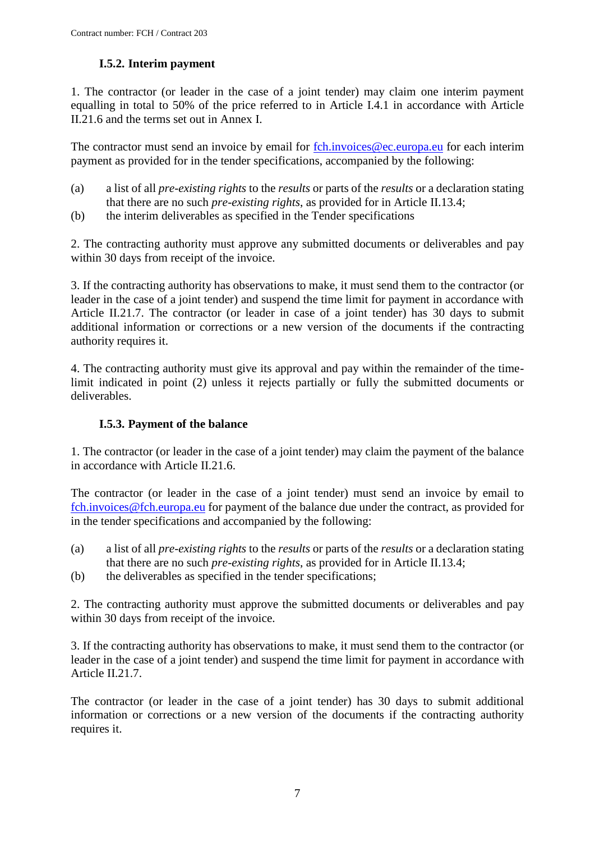# **I.5.2. Interim payment**

<span id="page-6-1"></span><span id="page-6-0"></span>1. The contractor (or leader in the case of a joint tender) may claim one interim payment equalling in total to 50% of the price referred to in Article I.4.1 in accordance with Article II.21.6 and the terms set out in Annex I.

The contractor must send an invoice by email for [fch.invoices@ec.europa.eu](mailto:fch.invoices@ec.europa.eu) for each interim payment as provided for in the tender specifications, accompanied by the following:

- (a) a list of all *pre-existing rights* to the *results* or parts of the *results* or a declaration stating that there are no such *pre-existing rights*, as provided for in Article II.13.4;
- (b) the interim deliverables as specified in the Tender specifications

2. The contracting authority must approve any submitted documents or deliverables and pay within 30 days from receipt of the invoice.

3. If the contracting authority has observations to make, it must send them to the contractor (or leader in the case of a joint tender) and suspend the time limit for payment in accordance with Article II.21.7. The contractor (or leader in case of a joint tender) has 30 days to submit additional information or corrections or a new version of the documents if the contracting authority requires it.

4. The contracting authority must give its approval and pay within the remainder of the timelimit indicated in point (2) unless it rejects partially or fully the submitted documents or deliverables.

# **I.5.3. Payment of the balance**

1. The contractor (or leader in the case of a joint tender) may claim the payment of the balance in accordance with Article II.21.6.

The contractor (or leader in the case of a joint tender) must send an invoice by email to [fch.invoices@fch.europa.eu](mailto:fch.invoices@fch.europa.eu) for payment of the balance due under the contract, as provided for in the tender specifications and accompanied by the following:

- (a) a list of all *pre-existing rights* to the *results* or parts of the *results* or a declaration stating that there are no such *pre-existing rights*, as provided for in Article II.13.4;
- (b) the deliverables as specified in the tender specifications;

2. The contracting authority must approve the submitted documents or deliverables and pay within 30 days from receipt of the invoice.

3. If the contracting authority has observations to make, it must send them to the contractor (or leader in the case of a joint tender) and suspend the time limit for payment in accordance with Article II.21.7.

The contractor (or leader in the case of a joint tender) has 30 days to submit additional information or corrections or a new version of the documents if the contracting authority requires it.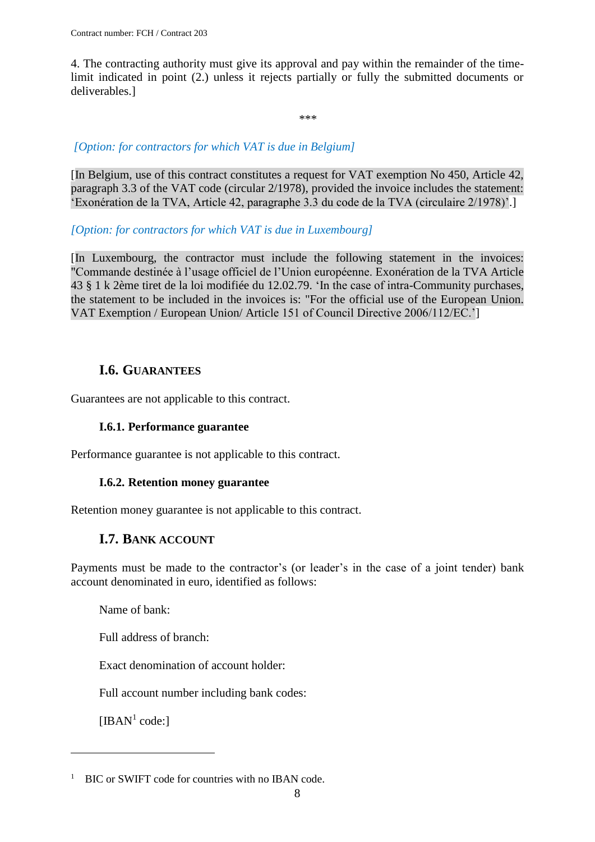4. The contracting authority must give its approval and pay within the remainder of the timelimit indicated in point (2.) unless it rejects partially or fully the submitted documents or deliverables.]

\*\*\*

### *[Option: for contractors for which VAT is due in Belgium]*

[In Belgium, use of this contract constitutes a request for VAT exemption No 450, Article 42, paragraph 3.3 of the VAT code (circular 2/1978), provided the invoice includes the statement: 'Exonération de la TVA, Article 42, paragraphe 3.3 du code de la TVA (circulaire 2/1978)'.]

#### *[Option: for contractors for which VAT is due in Luxembourg]*

[In Luxembourg, the contractor must include the following statement in the invoices: "Commande destinée à l'usage officiel de l'Union européenne. Exonération de la TVA Article 43 § 1 k 2ème tiret de la loi modifiée du 12.02.79. 'In the case of intra-Community purchases, the statement to be included in the invoices is: "For the official use of the European Union. VAT Exemption / European Union/ Article 151 of Council Directive 2006/112/EC.']

# **I.6. GUARANTEES**

<span id="page-7-1"></span><span id="page-7-0"></span>Guarantees are not applicable to this contract.

#### **I.6.1. Performance guarantee**

<span id="page-7-2"></span>Performance guarantee is not applicable to this contract.

### **I.6.2. Retention money guarantee**

<span id="page-7-3"></span>Retention money guarantee is not applicable to this contract.

# **I.7. BANK ACCOUNT**

Payments must be made to the contractor's (or leader's in the case of a joint tender) bank account denominated in euro, identified as follows:

Name of bank:

Full address of branch:

Exact denomination of account holder:

Full account number including bank codes:

[IBAN $<sup>1</sup>$  code:]</sup>

 $\overline{a}$ 

<sup>&</sup>lt;sup>1</sup> BIC or SWIFT code for countries with no IBAN code.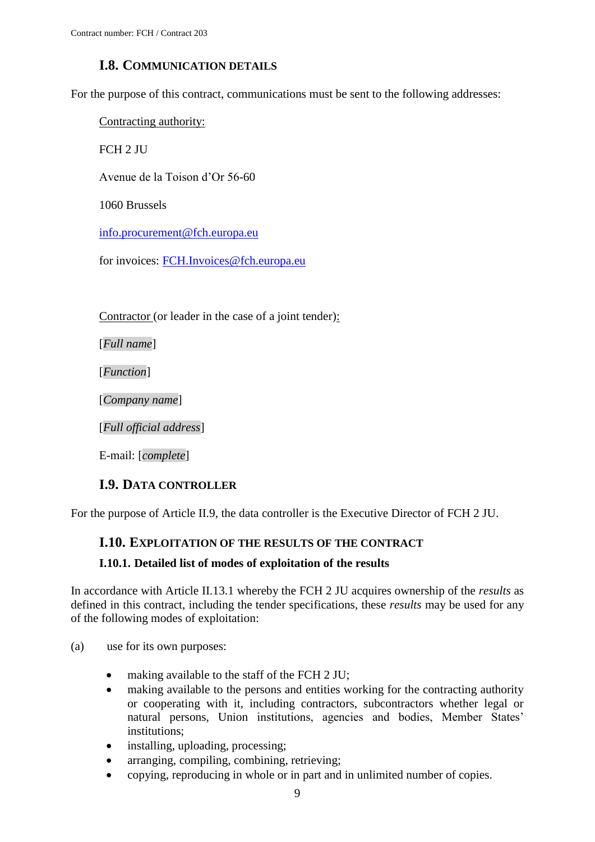# **I.8. COMMUNICATION DETAILS**

<span id="page-8-0"></span>For the purpose of this contract, communications must be sent to the following addresses:

Contracting authority:

FCH 2 JU

Avenue de la Toison d'Or 56-60

1060 Brussels

[info.procurement@fch.europa.eu](mailto:info.procurement@fch.europa.eu)

for invoices: [FCH.Invoices@fch.europa.eu](mailto:FCH.Invoices@fch.europa.eu)

Contractor (or leader in the case of a joint tender):

[*Full name*]

[*Function*]

[*Company name*]

[*Full official address*]

E-mail: [*complete*]

### **I.9. DATA CONTROLLER**

<span id="page-8-2"></span><span id="page-8-1"></span>For the purpose of Article II.9, the data controller is the Executive Director of FCH 2 JU.

# **I.10. EXPLOITATION OF THE RESULTS OF THE CONTRACT**

### <span id="page-8-3"></span>**I.10.1. Detailed list of modes of exploitation of the results**

In accordance with Article II.13.1 whereby the FCH 2 JU acquires ownership of the *results* as defined in this contract, including the tender specifications, these *results* may be used for any of the following modes of exploitation:

- (a) use for its own purposes:
	- making available to the staff of the FCH 2 JU;
	- making available to the persons and entities working for the contracting authority or cooperating with it, including contractors, subcontractors whether legal or natural persons, Union institutions, agencies and bodies, Member States' institutions;
	- installing, uploading, processing;
	- arranging, compiling, combining, retrieving;
	- copying, reproducing in whole or in part and in unlimited number of copies.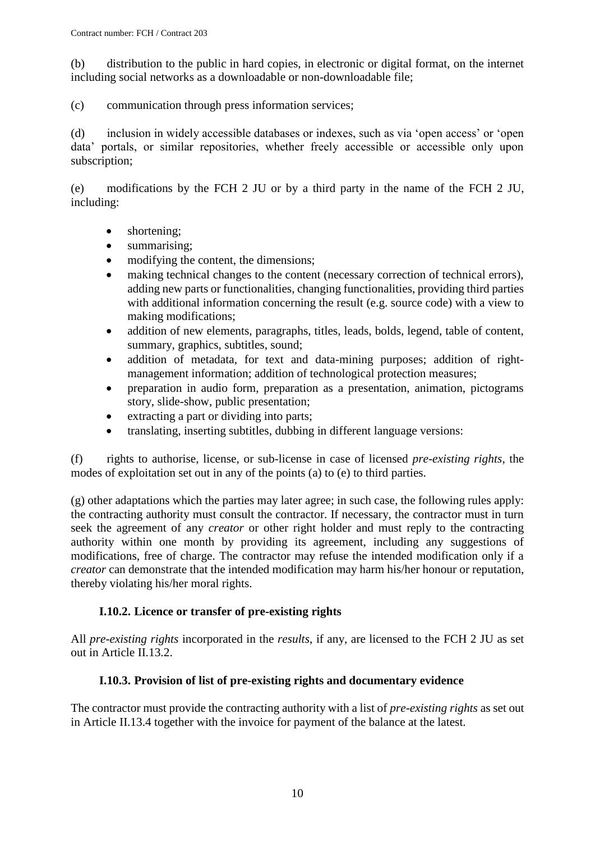(b) distribution to the public in hard copies, in electronic or digital format, on the internet including social networks as a downloadable or non-downloadable file;

(c) communication through press information services;

(d) inclusion in widely accessible databases or indexes, such as via 'open access' or 'open data' portals, or similar repositories, whether freely accessible or accessible only upon subscription;

(e) modifications by the FCH 2 JU or by a third party in the name of the FCH 2 JU, including:

- shortening;
- summarising;
- modifying the content, the dimensions:
- making technical changes to the content (necessary correction of technical errors), adding new parts or functionalities, changing functionalities, providing third parties with additional information concerning the result (e.g. source code) with a view to making modifications;
- addition of new elements, paragraphs, titles, leads, bolds, legend, table of content, summary, graphics, subtitles, sound;
- addition of metadata, for text and data-mining purposes; addition of rightmanagement information; addition of technological protection measures;
- preparation in audio form, preparation as a presentation, animation, pictograms story, slide-show, public presentation;
- extracting a part or dividing into parts;
- translating, inserting subtitles, dubbing in different language versions:

(f) rights to authorise, license, or sub-license in case of licensed *pre-existing rights*, the modes of exploitation set out in any of the points (a) to (e) to third parties.

(g) other adaptations which the parties may later agree; in such case, the following rules apply: the contracting authority must consult the contractor. If necessary, the contractor must in turn seek the agreement of any *creator* or other right holder and must reply to the contracting authority within one month by providing its agreement, including any suggestions of modifications, free of charge. The contractor may refuse the intended modification only if a *creator* can demonstrate that the intended modification may harm his/her honour or reputation, thereby violating his/her moral rights.

### **I.10.2. Licence or transfer of pre-existing rights**

<span id="page-9-0"></span>All *pre-existing rights* incorporated in the *results*, if any, are licensed to the FCH 2 JU as set out in Article II.13.2.

### **I.10.3. Provision of list of pre-existing rights and documentary evidence**

<span id="page-9-1"></span>The contractor must provide the contracting authority with a list of *pre-existing rights* as set out in Article II.13.4 together with the invoice for payment of the balance at the latest.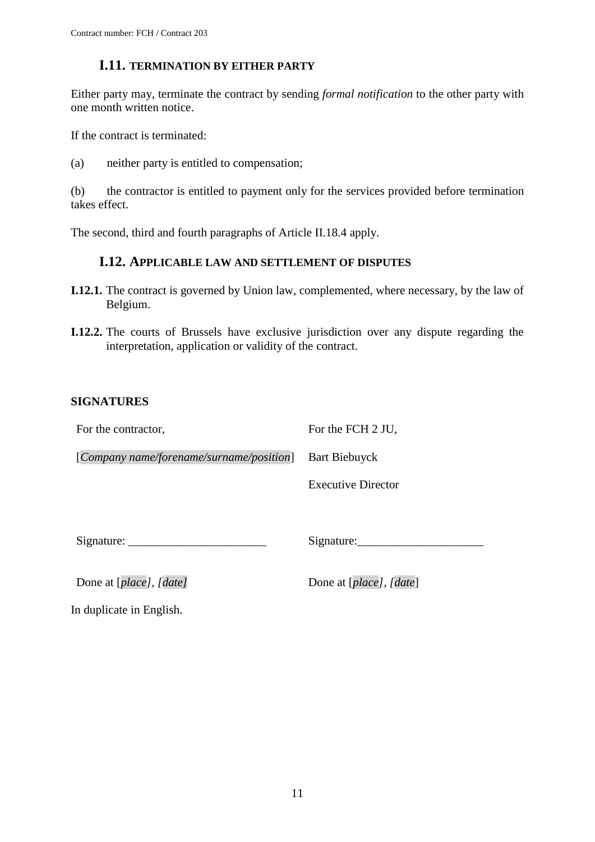### **I.11. TERMINATION BY EITHER PARTY**

<span id="page-10-0"></span>Either party may, terminate the contract by sending *formal notification* to the other party with one month written notice.

If the contract is terminated:

(a) neither party is entitled to compensation;

(b) the contractor is entitled to payment only for the services provided before termination takes effect.

<span id="page-10-1"></span>The second, third and fourth paragraphs of Article II.18.4 apply.

### **I.12. APPLICABLE LAW AND SETTLEMENT OF DISPUTES**

- **I.12.1.** The contract is governed by Union law, complemented, where necessary, by the law of Belgium.
- **I.12.2.** The courts of Brussels have exclusive jurisdiction over any dispute regarding the interpretation, application or validity of the contract.

### **SIGNATURES**

For the contractor,

For the FCH 2 JU,

[*Company name/forename/surname/position*] Bart Biebuyck

Executive Director

Signature:

Signature:\_\_\_\_\_\_\_\_\_\_\_\_\_\_\_\_\_\_\_\_\_

Done at [*place*], [*date*] Done at [*place*], [*date*]

In duplicate in English.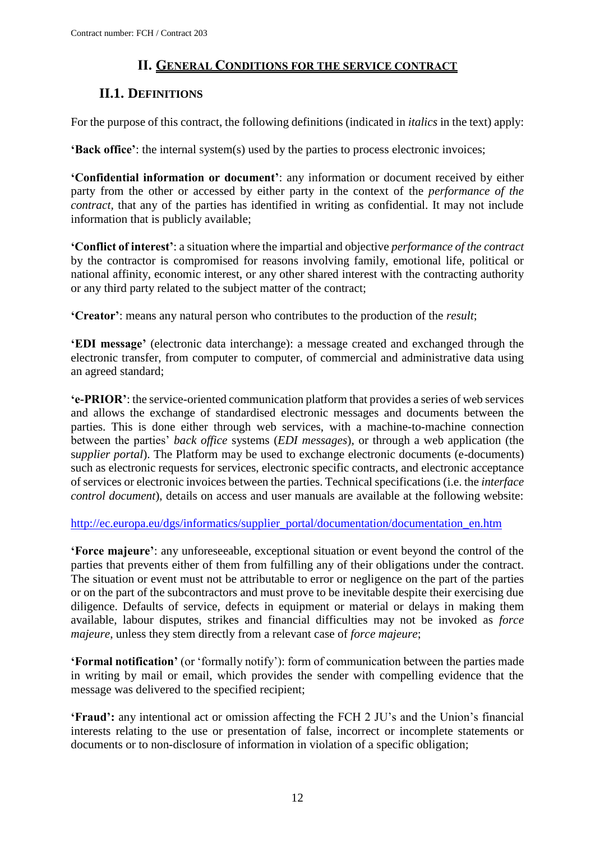# **II. GENERAL CONDITIONS FOR THE SERVICE CONTRACT**

# <span id="page-11-1"></span><span id="page-11-0"></span>**II.1. DEFINITIONS**

For the purpose of this contract, the following definitions (indicated in *italics* in the text) apply:

**'Back office'**: the internal system(s) used by the parties to process electronic invoices;

**'Confidential information or document'**: any information or document received by either party from the other or accessed by either party in the context of the *performance of the contract,* that any of the parties has identified in writing as confidential. It may not include information that is publicly available;

**'Conflict of interest'**: a situation where the impartial and objective *performance of the contract*  by the contractor is compromised for reasons involving family, emotional life, political or national affinity, economic interest, or any other shared interest with the contracting authority or any third party related to the subject matter of the contract;

**'Creator'**: means any natural person who contributes to the production of the *result*;

**'EDI message'** (electronic data interchange): a message created and exchanged through the electronic transfer, from computer to computer, of commercial and administrative data using an agreed standard;

**'e-PRIOR'**: the service-oriented communication platform that provides a series of web services and allows the exchange of standardised electronic messages and documents between the parties. This is done either through web services, with a machine-to-machine connection between the parties' *back office* systems (*EDI messages*), or through a web application (the s*upplier portal*). The Platform may be used to exchange electronic documents (e-documents) such as electronic requests for services, electronic specific contracts, and electronic acceptance of services or electronic invoices between the parties. Technical specifications (i.e. the *interface control document*), details on access and user manuals are available at the following website:

[http://ec.europa.eu/dgs/informatics/supplier\\_portal/documentation/documentation\\_en.htm](http://ec.europa.eu/dgs/informatics/supplier_portal/documentation/documentation_en.htm)

**'Force majeure'**: any unforeseeable, exceptional situation or event beyond the control of the parties that prevents either of them from fulfilling any of their obligations under the contract. The situation or event must not be attributable to error or negligence on the part of the parties or on the part of the subcontractors and must prove to be inevitable despite their exercising due diligence. Defaults of service, defects in equipment or material or delays in making them available, labour disputes, strikes and financial difficulties may not be invoked as *force majeure*, unless they stem directly from a relevant case of *force majeure*;

**'Formal notification'** (or 'formally notify'): form of communication between the parties made in writing by mail or email, which provides the sender with compelling evidence that the message was delivered to the specified recipient;

**'Fraud':** any intentional act or omission affecting the FCH 2 JU's and the Union's financial interests relating to the use or presentation of false, incorrect or incomplete statements or documents or to non-disclosure of information in violation of a specific obligation;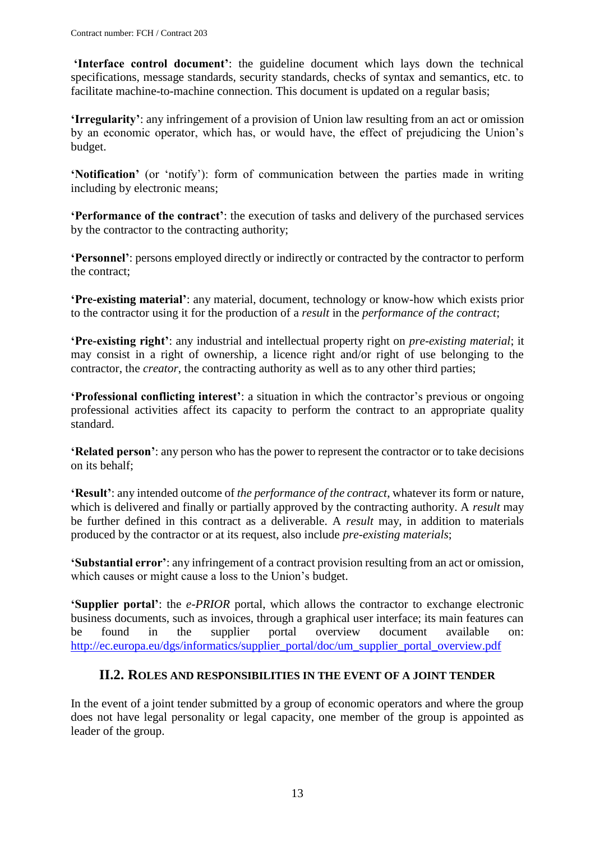**'Interface control document'**: the guideline document which lays down the technical specifications, message standards, security standards, checks of syntax and semantics, etc. to facilitate machine-to-machine connection. This document is updated on a regular basis;

**'Irregularity'**: any infringement of a provision of Union law resulting from an act or omission by an economic operator, which has, or would have, the effect of prejudicing the Union's budget.

**'Notification'** (or 'notify'): form of communication between the parties made in writing including by electronic means;

**'Performance of the contract'**: the execution of tasks and delivery of the purchased services by the contractor to the contracting authority;

**'Personnel'**: persons employed directly or indirectly or contracted by the contractor to perform the contract;

**'Pre-existing material'**: any material, document, technology or know-how which exists prior to the contractor using it for the production of a *result* in the *performance of the contract*;

**'Pre-existing right'**: any industrial and intellectual property right on *pre-existing material*; it may consist in a right of ownership, a licence right and/or right of use belonging to the contractor, the *creator*, the contracting authority as well as to any other third parties;

**'Professional conflicting interest'**: a situation in which the contractor's previous or ongoing professional activities affect its capacity to perform the contract to an appropriate quality standard.

**'Related person'**: any person who has the power to represent the contractor or to take decisions on its behalf;

**'Result'**: any intended outcome of *the performance of the contract*, whatever its form or nature, which is delivered and finally or partially approved by the contracting authority. A *result* may be further defined in this contract as a deliverable. A *result* may, in addition to materials produced by the contractor or at its request, also include *pre-existing materials*;

**'Substantial error'**: any infringement of a contract provision resulting from an act or omission, which causes or might cause a loss to the Union's budget.

**'Supplier portal'**: the *e-PRIOR* portal, which allows the contractor to exchange electronic business documents, such as invoices, through a graphical user interface; its main features can be found in the supplier portal overview document available on: [http://ec.europa.eu/dgs/informatics/supplier\\_portal/doc/um\\_supplier\\_portal\\_overview.pdf](http://ec.europa.eu/dgs/informatics/supplier_portal/doc/um_supplier_portal_overview.pdf)

### **II.2. ROLES AND RESPONSIBILITIES IN THE EVENT OF A JOINT TENDER**

<span id="page-12-0"></span>In the event of a joint tender submitted by a group of economic operators and where the group does not have legal personality or legal capacity, one member of the group is appointed as leader of the group.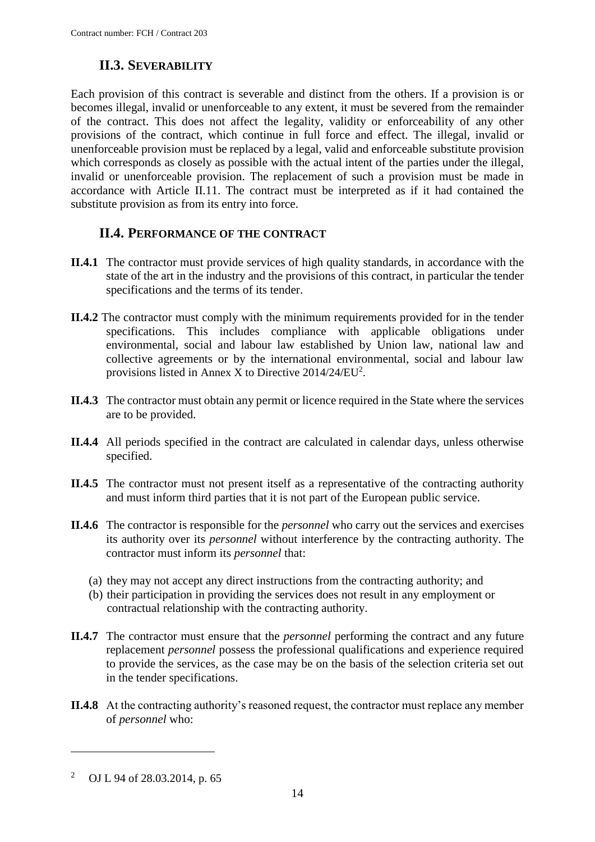# **II.3. SEVERABILITY**

<span id="page-13-0"></span>Each provision of this contract is severable and distinct from the others. If a provision is or becomes illegal, invalid or unenforceable to any extent, it must be severed from the remainder of the contract. This does not affect the legality, validity or enforceability of any other provisions of the contract, which continue in full force and effect. The illegal, invalid or unenforceable provision must be replaced by a legal, valid and enforceable substitute provision which corresponds as closely as possible with the actual intent of the parties under the illegal, invalid or unenforceable provision. The replacement of such a provision must be made in accordance with Article II.11. The contract must be interpreted as if it had contained the substitute provision as from its entry into force.

# **II.4. PERFORMANCE OF THE CONTRACT**

- <span id="page-13-1"></span>**II.4.1** The contractor must provide services of high quality standards, in accordance with the state of the art in the industry and the provisions of this contract, in particular the tender specifications and the terms of its tender.
- **II.4.2** The contractor must comply with the minimum requirements provided for in the tender specifications. This includes compliance with applicable obligations under environmental, social and labour law established by Union law, national law and collective agreements or by the international environmental, social and labour law provisions listed in Annex X to Directive  $2014/24/EU^2$ .
- **II.4.3** The contractor must obtain any permit or licence required in the State where the services are to be provided.
- **II.4.4** All periods specified in the contract are calculated in calendar days, unless otherwise specified.
- **II.4.5** The contractor must not present itself as a representative of the contracting authority and must inform third parties that it is not part of the European public service.
- **II.4.6** The contractor is responsible for the *personnel* who carry out the services and exercises its authority over its *personnel* without interference by the contracting authority. The contractor must inform its *personnel* that:
	- (a) they may not accept any direct instructions from the contracting authority; and
	- (b) their participation in providing the services does not result in any employment or contractual relationship with the contracting authority.
- **II.4.7** The contractor must ensure that the *personnel* performing the contract and any future replacement *personnel* possess the professional qualifications and experience required to provide the services, as the case may be on the basis of the selection criteria set out in the tender specifications.
- **II.4.8** At the contracting authority's reasoned request, the contractor must replace any member of *personnel* who:

 $\overline{a}$ 

<sup>2</sup> OJ L 94 of 28.03.2014, p. 65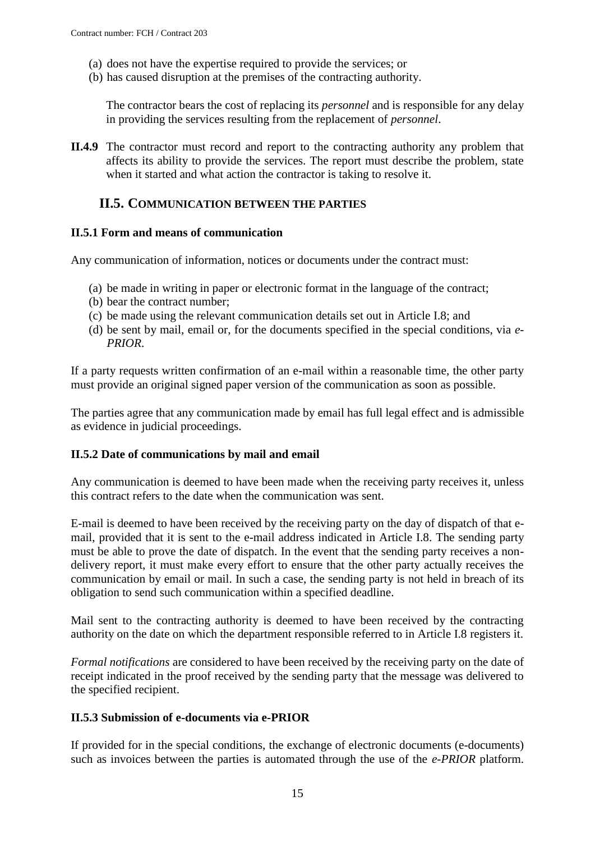- (a) does not have the expertise required to provide the services; or
- (b) has caused disruption at the premises of the contracting authority.

The contractor bears the cost of replacing its *personnel* and is responsible for any delay in providing the services resulting from the replacement of *personnel*.

**II.4.9** The contractor must record and report to the contracting authority any problem that affects its ability to provide the services. The report must describe the problem, state when it started and what action the contractor is taking to resolve it.

### <span id="page-14-0"></span>**II.5. COMMUNICATION BETWEEN THE PARTIES**

#### <span id="page-14-1"></span>**II.5.1 Form and means of communication**

Any communication of information, notices or documents under the contract must:

- (a) be made in writing in paper or electronic format in the language of the contract;
- (b) bear the contract number;
- (c) be made using the relevant communication details set out in Article I.8; and
- (d) be sent by mail, email or, for the documents specified in the special conditions, via *e-PRIOR*.

If a party requests written confirmation of an e-mail within a reasonable time, the other party must provide an original signed paper version of the communication as soon as possible.

The parties agree that any communication made by email has full legal effect and is admissible as evidence in judicial proceedings.

#### <span id="page-14-2"></span>**II.5.2 Date of communications by mail and email**

Any communication is deemed to have been made when the receiving party receives it, unless this contract refers to the date when the communication was sent.

E-mail is deemed to have been received by the receiving party on the day of dispatch of that email, provided that it is sent to the e-mail address indicated in Article I.8. The sending party must be able to prove the date of dispatch. In the event that the sending party receives a nondelivery report, it must make every effort to ensure that the other party actually receives the communication by email or mail. In such a case, the sending party is not held in breach of its obligation to send such communication within a specified deadline.

Mail sent to the contracting authority is deemed to have been received by the contracting authority on the date on which the department responsible referred to in Article I.8 registers it.

*Formal notifications* are considered to have been received by the receiving party on the date of receipt indicated in the proof received by the sending party that the message was delivered to the specified recipient.

#### <span id="page-14-3"></span>**II.5.3 Submission of e-documents via e-PRIOR**

If provided for in the special conditions, the exchange of electronic documents (e-documents) such as invoices between the parties is automated through the use of the *e-PRIOR* platform.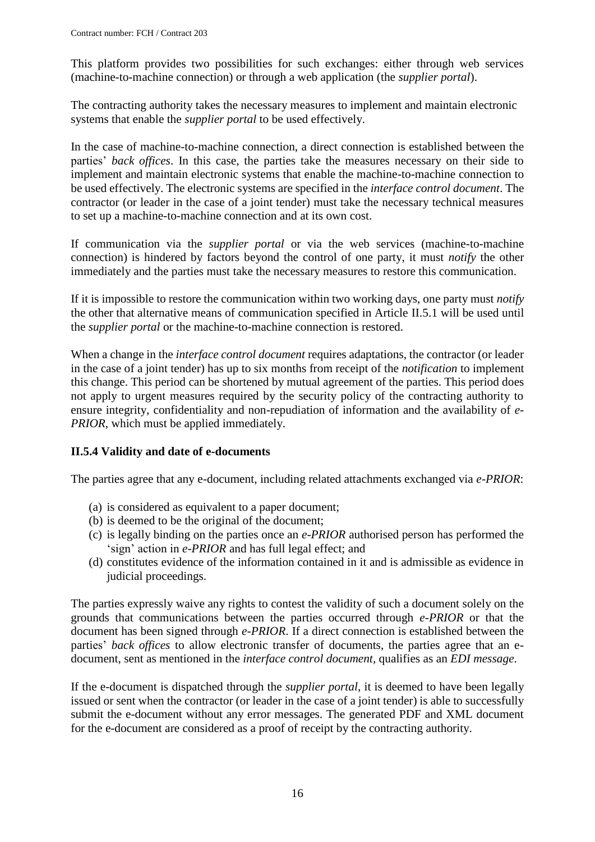This platform provides two possibilities for such exchanges: either through web services (machine-to-machine connection) or through a web application (the *supplier portal*).

The contracting authority takes the necessary measures to implement and maintain electronic systems that enable the *supplier portal* to be used effectively.

In the case of machine-to-machine connection, a direct connection is established between the parties' *back offices*. In this case, the parties take the measures necessary on their side to implement and maintain electronic systems that enable the machine-to-machine connection to be used effectively. The electronic systems are specified in the *interface control document*. The contractor (or leader in the case of a joint tender) must take the necessary technical measures to set up a machine-to-machine connection and at its own cost.

If communication via the *supplier portal* or via the web services (machine-to-machine connection) is hindered by factors beyond the control of one party, it must *notify* the other immediately and the parties must take the necessary measures to restore this communication.

If it is impossible to restore the communication within two working days, one party must *notify* the other that alternative means of communication specified in Article II.5.1 will be used until the *supplier portal* or the machine-to-machine connection is restored.

When a change in the *interface control document* requires adaptations, the contractor (or leader in the case of a joint tender) has up to six months from receipt of the *notification* to implement this change. This period can be shortened by mutual agreement of the parties. This period does not apply to urgent measures required by the security policy of the contracting authority to ensure integrity, confidentiality and non-repudiation of information and the availability of *e-PRIOR*, which must be applied immediately.

### <span id="page-15-0"></span>**II.5.4 Validity and date of e-documents**

The parties agree that any e-document, including related attachments exchanged via *e-PRIOR*:

- (a) is considered as equivalent to a paper document;
- (b) is deemed to be the original of the document;
- (c) is legally binding on the parties once an *e-PRIOR* authorised person has performed the 'sign' action in *e-PRIOR* and has full legal effect; and
- (d) constitutes evidence of the information contained in it and is admissible as evidence in judicial proceedings.

The parties expressly waive any rights to contest the validity of such a document solely on the grounds that communications between the parties occurred through *e-PRIOR* or that the document has been signed through *e-PRIOR*. If a direct connection is established between the parties' *back offices* to allow electronic transfer of documents, the parties agree that an edocument, sent as mentioned in the *interface control document*, qualifies as an *EDI message*.

If the e-document is dispatched through the *supplier portal*, it is deemed to have been legally issued or sent when the contractor (or leader in the case of a joint tender) is able to successfully submit the e-document without any error messages. The generated PDF and XML document for the e-document are considered as a proof of receipt by the contracting authority.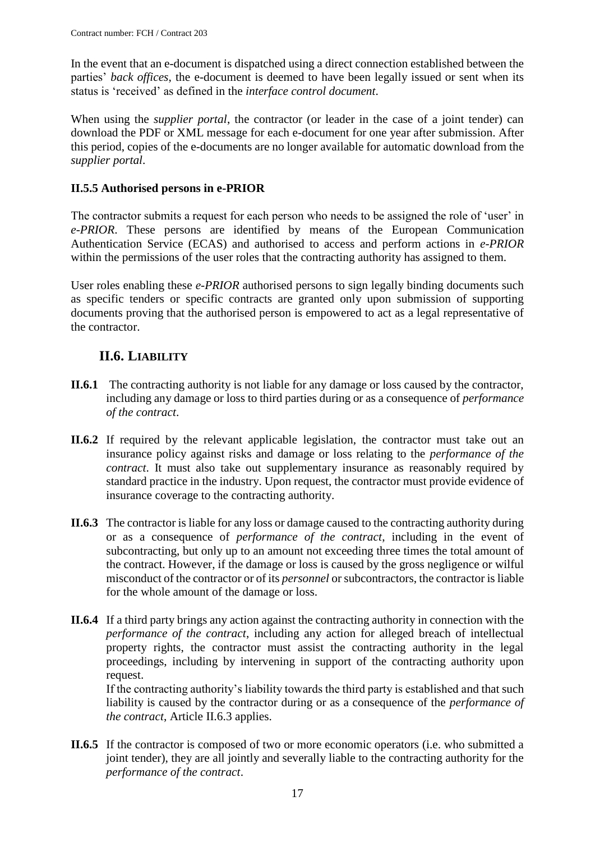In the event that an e-document is dispatched using a direct connection established between the parties' *back offices*, the e-document is deemed to have been legally issued or sent when its status is 'received' as defined in the *interface control document*.

When using the *supplier portal*, the contractor (or leader in the case of a joint tender) can download the PDF or XML message for each e-document for one year after submission. After this period, copies of the e-documents are no longer available for automatic download from the *supplier portal*.

### <span id="page-16-0"></span>**II.5.5 Authorised persons in e-PRIOR**

The contractor submits a request for each person who needs to be assigned the role of 'user' in *e-PRIOR*. These persons are identified by means of the European Communication Authentication Service (ECAS) and authorised to access and perform actions in *e-PRIOR* within the permissions of the user roles that the contracting authority has assigned to them.

User roles enabling these *e-PRIOR* authorised persons to sign legally binding documents such as specific tenders or specific contracts are granted only upon submission of supporting documents proving that the authorised person is empowered to act as a legal representative of the contractor.

# **II.6. LIABILITY**

- <span id="page-16-1"></span>**II.6.1** The contracting authority is not liable for any damage or loss caused by the contractor, including any damage or loss to third parties during or as a consequence of *performance of the contract*.
- **II.6.2** If required by the relevant applicable legislation, the contractor must take out an insurance policy against risks and damage or loss relating to the *performance of the contract*. It must also take out supplementary insurance as reasonably required by standard practice in the industry. Upon request, the contractor must provide evidence of insurance coverage to the contracting authority.
- **II.6.3** The contractor is liable for any loss or damage caused to the contracting authority during or as a consequence of *performance of the contract*, including in the event of subcontracting, but only up to an amount not exceeding three times the total amount of the contract. However, if the damage or loss is caused by the gross negligence or wilful misconduct of the contractor or of its *personnel* or subcontractors, the contractor is liable for the whole amount of the damage or loss.
- **II.6.4** If a third party brings any action against the contracting authority in connection with the *performance of the contract*, including any action for alleged breach of intellectual property rights, the contractor must assist the contracting authority in the legal proceedings, including by intervening in support of the contracting authority upon request.

If the contracting authority's liability towards the third party is established and that such liability is caused by the contractor during or as a consequence of the *performance of the contract*, Article II.6.3 applies.

**II.6.5** If the contractor is composed of two or more economic operators (i.e. who submitted a joint tender), they are all jointly and severally liable to the contracting authority for the *performance of the contract*.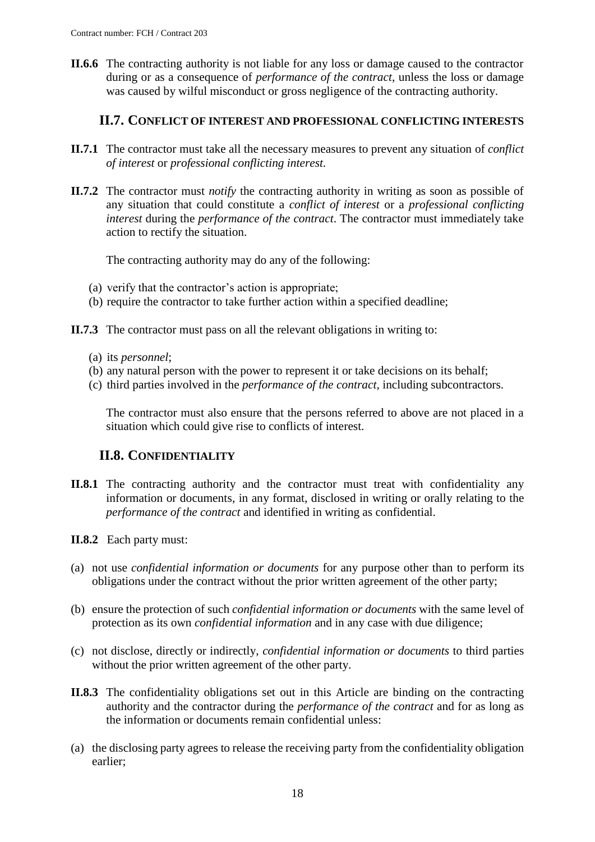**II.6.6** The contracting authority is not liable for any loss or damage caused to the contractor during or as a consequence of *performance of the contract*, unless the loss or damage was caused by wilful misconduct or gross negligence of the contracting authority.

### **II.7. CONFLICT OF INTEREST AND PROFESSIONAL CONFLICTING INTERESTS**

- <span id="page-17-0"></span>**II.7.1** The contractor must take all the necessary measures to prevent any situation of *conflict of interest* or *professional conflicting interest.*
- **II.7.2** The contractor must *notify* the contracting authority in writing as soon as possible of any situation that could constitute a *conflict of interest* or a *professional conflicting interest* during the *performance of the contract*. The contractor must immediately take action to rectify the situation.

The contracting authority may do any of the following:

- (a) verify that the contractor's action is appropriate;
- (b) require the contractor to take further action within a specified deadline;
- **II.7.3** The contractor must pass on all the relevant obligations in writing to:
	- (a) its *personnel*;
	- (b) any natural person with the power to represent it or take decisions on its behalf;
	- (c) third parties involved in the *performance of the contract*, including subcontractors.

The contractor must also ensure that the persons referred to above are not placed in a situation which could give rise to conflicts of interest.

# **II.8. CONFIDENTIALITY**

- <span id="page-17-1"></span>**II.8.1** The contracting authority and the contractor must treat with confidentiality any information or documents, in any format, disclosed in writing or orally relating to the *performance of the contract* and identified in writing as confidential.
- **II.8.2** Each party must:
- (a) not use *confidential information or documents* for any purpose other than to perform its obligations under the contract without the prior written agreement of the other party;
- (b) ensure the protection of such *confidential information or documents* with the same level of protection as its own *confidential information* and in any case with due diligence;
- (c) not disclose, directly or indirectly, *confidential information or documents* to third parties without the prior written agreement of the other party.
- **II.8.3** The confidentiality obligations set out in this Article are binding on the contracting authority and the contractor during the *performance of the contract* and for as long as the information or documents remain confidential unless:
- (a) the disclosing party agrees to release the receiving party from the confidentiality obligation earlier;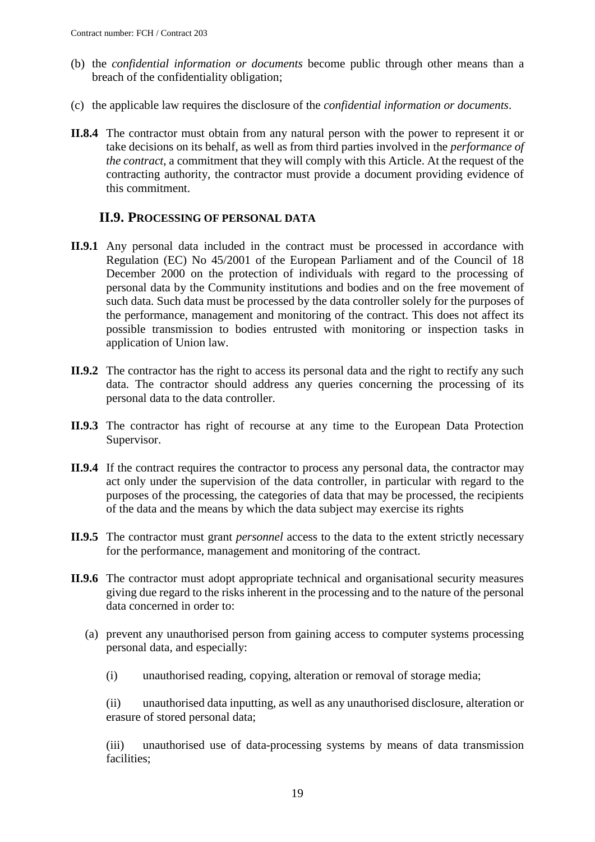- (b) the *confidential information or documents* become public through other means than a breach of the confidentiality obligation;
- (c) the applicable law requires the disclosure of the *confidential information or documents*.
- **II.8.4** The contractor must obtain from any natural person with the power to represent it or take decisions on its behalf, as well as from third parties involved in the *performance of the contract*, a commitment that they will comply with this Article. At the request of the contracting authority, the contractor must provide a document providing evidence of this commitment.

### **II.9. PROCESSING OF PERSONAL DATA**

- <span id="page-18-0"></span>**II.9.1** Any personal data included in the contract must be processed in accordance with Regulation (EC) No 45/2001 of the European Parliament and of the Council of 18 December 2000 on the protection of individuals with regard to the processing of personal data by the Community institutions and bodies and on the free movement of such data. Such data must be processed by the data controller solely for the purposes of the performance, management and monitoring of the contract. This does not affect its possible transmission to bodies entrusted with monitoring or inspection tasks in application of Union law.
- **II.9.2** The contractor has the right to access its personal data and the right to rectify any such data. The contractor should address any queries concerning the processing of its personal data to the data controller.
- **II.9.3** The contractor has right of recourse at any time to the European Data Protection Supervisor.
- **II.9.4** If the contract requires the contractor to process any personal data, the contractor may act only under the supervision of the data controller, in particular with regard to the purposes of the processing, the categories of data that may be processed, the recipients of the data and the means by which the data subject may exercise its rights
- **II.9.5** The contractor must grant *personnel* access to the data to the extent strictly necessary for the performance, management and monitoring of the contract.
- **II.9.6** The contractor must adopt appropriate technical and organisational security measures giving due regard to the risks inherent in the processing and to the nature of the personal data concerned in order to:
	- (a) prevent any unauthorised person from gaining access to computer systems processing personal data, and especially:
		- (i) unauthorised reading, copying, alteration or removal of storage media;

(ii) unauthorised data inputting, as well as any unauthorised disclosure, alteration or erasure of stored personal data;

(iii) unauthorised use of data-processing systems by means of data transmission facilities;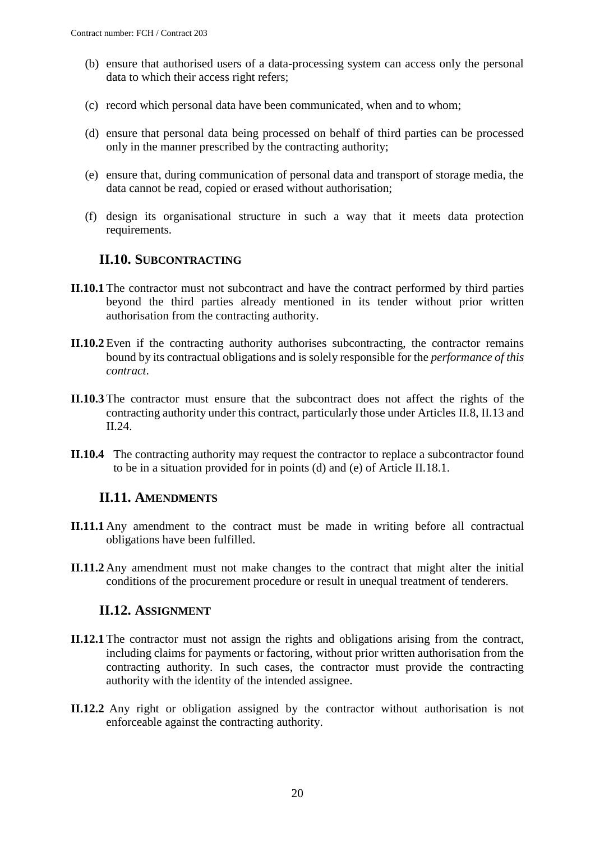- (b) ensure that authorised users of a data-processing system can access only the personal data to which their access right refers;
- (c) record which personal data have been communicated, when and to whom;
- (d) ensure that personal data being processed on behalf of third parties can be processed only in the manner prescribed by the contracting authority;
- (e) ensure that, during communication of personal data and transport of storage media, the data cannot be read, copied or erased without authorisation;
- (f) design its organisational structure in such a way that it meets data protection requirements.

### **II.10. SUBCONTRACTING**

- <span id="page-19-0"></span>**II.10.1** The contractor must not subcontract and have the contract performed by third parties beyond the third parties already mentioned in its tender without prior written authorisation from the contracting authority.
- **II.10.2** Even if the contracting authority authorises subcontracting, the contractor remains bound by its contractual obligations and is solely responsible for the *performance of this contract*.
- **II.10.3** The contractor must ensure that the subcontract does not affect the rights of the contracting authority under this contract, particularly those under Articles II.8, II.13 and II.24.
- **II.10.4** The contracting authority may request the contractor to replace a subcontractor found to be in a situation provided for in points (d) and (e) of Article II.18.1.

### <span id="page-19-1"></span>**II.11. AMENDMENTS**

- **II.11.1** Any amendment to the contract must be made in writing before all contractual obligations have been fulfilled.
- **II.11.2** Any amendment must not make changes to the contract that might alter the initial conditions of the procurement procedure or result in unequal treatment of tenderers.

### **II.12. ASSIGNMENT**

- <span id="page-19-2"></span>**II.12.1** The contractor must not assign the rights and obligations arising from the contract, including claims for payments or factoring, without prior written authorisation from the contracting authority. In such cases, the contractor must provide the contracting authority with the identity of the intended assignee.
- **II.12.2** Any right or obligation assigned by the contractor without authorisation is not enforceable against the contracting authority.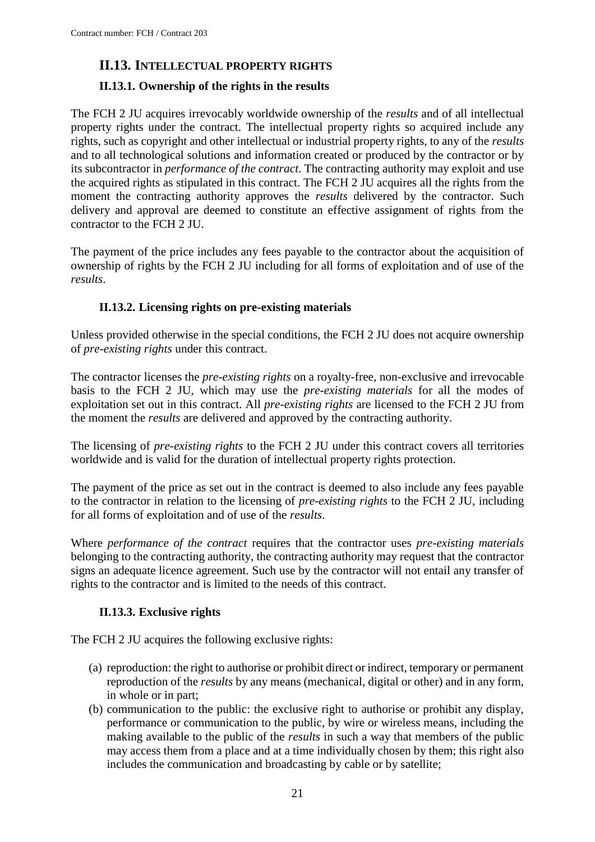# <span id="page-20-0"></span>**II.13. INTELLECTUAL PROPERTY RIGHTS**

### <span id="page-20-1"></span>**II.13.1. Ownership of the rights in the results**

The FCH 2 JU acquires irrevocably worldwide ownership of the *results* and of all intellectual property rights under the contract. The intellectual property rights so acquired include any rights, such as copyright and other intellectual or industrial property rights, to any of the *results* and to all technological solutions and information created or produced by the contractor or by its subcontractor in *performance of the contract*. The contracting authority may exploit and use the acquired rights as stipulated in this contract. The FCH 2 JU acquires all the rights from the moment the contracting authority approves the *results* delivered by the contractor. Such delivery and approval are deemed to constitute an effective assignment of rights from the contractor to the FCH 2 JU.

The payment of the price includes any fees payable to the contractor about the acquisition of ownership of rights by the FCH 2 JU including for all forms of exploitation and of use of the *results*.

### **II.13.2. Licensing rights on pre-existing materials**

<span id="page-20-2"></span>Unless provided otherwise in the special conditions, the FCH 2 JU does not acquire ownership of *pre-existing rights* under this contract.

The contractor licenses the *pre-existing rights* on a royalty-free, non-exclusive and irrevocable basis to the FCH 2 JU, which may use the *pre-existing materials* for all the modes of exploitation set out in this contract. All *pre-existing rights* are licensed to the FCH 2 JU from the moment the *results* are delivered and approved by the contracting authority.

The licensing of *pre-existing rights* to the FCH 2 JU under this contract covers all territories worldwide and is valid for the duration of intellectual property rights protection.

The payment of the price as set out in the contract is deemed to also include any fees payable to the contractor in relation to the licensing of *pre-existing rights* to the FCH 2 JU, including for all forms of exploitation and of use of the *results*.

Where *performance of the contract* requires that the contractor uses *pre-existing materials* belonging to the contracting authority, the contracting authority may request that the contractor signs an adequate licence agreement. Such use by the contractor will not entail any transfer of rights to the contractor and is limited to the needs of this contract.

### **II.13.3. Exclusive rights**

<span id="page-20-3"></span>The FCH 2 JU acquires the following exclusive rights:

- (a) reproduction: the right to authorise or prohibit direct or indirect, temporary or permanent reproduction of the *results* by any means (mechanical, digital or other) and in any form, in whole or in part;
- (b) communication to the public: the exclusive right to authorise or prohibit any display, performance or communication to the public, by wire or wireless means, including the making available to the public of the *results* in such a way that members of the public may access them from a place and at a time individually chosen by them; this right also includes the communication and broadcasting by cable or by satellite;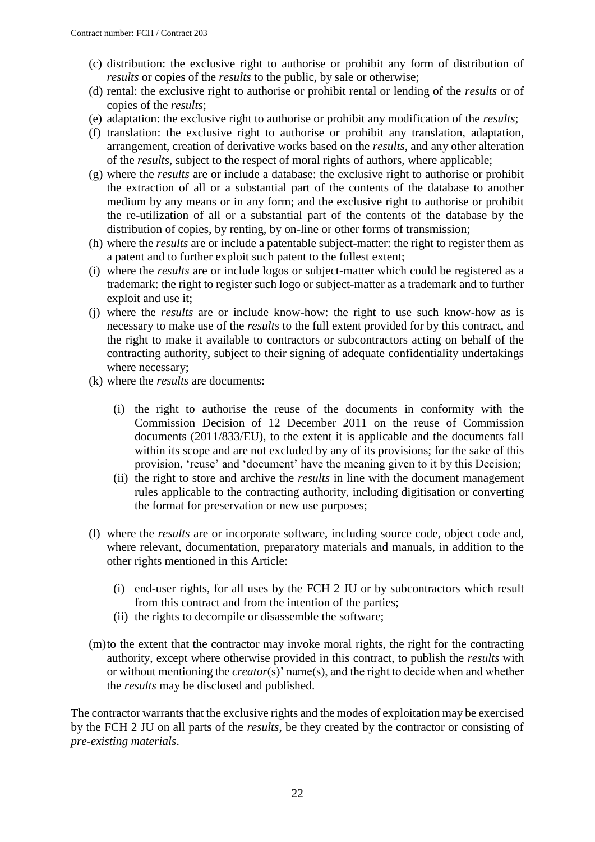- (c) distribution: the exclusive right to authorise or prohibit any form of distribution of *results* or copies of the *results* to the public, by sale or otherwise;
- (d) rental: the exclusive right to authorise or prohibit rental or lending of the *results* or of copies of the *results*;
- (e) adaptation: the exclusive right to authorise or prohibit any modification of the *results*;
- (f) translation: the exclusive right to authorise or prohibit any translation, adaptation, arrangement, creation of derivative works based on the *results*, and any other alteration of the *results*, subject to the respect of moral rights of authors, where applicable;
- (g) where the *results* are or include a database: the exclusive right to authorise or prohibit the extraction of all or a substantial part of the contents of the database to another medium by any means or in any form; and the exclusive right to authorise or prohibit the re-utilization of all or a substantial part of the contents of the database by the distribution of copies, by renting, by on-line or other forms of transmission;
- (h) where the *results* are or include a patentable subject-matter: the right to register them as a patent and to further exploit such patent to the fullest extent;
- (i) where the *results* are or include logos or subject-matter which could be registered as a trademark: the right to register such logo or subject-matter as a trademark and to further exploit and use it;
- (j) where the *results* are or include know-how: the right to use such know-how as is necessary to make use of the *results* to the full extent provided for by this contract, and the right to make it available to contractors or subcontractors acting on behalf of the contracting authority, subject to their signing of adequate confidentiality undertakings where necessary;
- (k) where the *results* are documents:
	- (i) the right to authorise the reuse of the documents in conformity with the Commission Decision of 12 December 2011 on the reuse of Commission documents (2011/833/EU), to the extent it is applicable and the documents fall within its scope and are not excluded by any of its provisions; for the sake of this provision, 'reuse' and 'document' have the meaning given to it by this Decision;
	- (ii) the right to store and archive the *results* in line with the document management rules applicable to the contracting authority, including digitisation or converting the format for preservation or new use purposes;
- (l) where the *results* are or incorporate software, including source code, object code and, where relevant, documentation, preparatory materials and manuals, in addition to the other rights mentioned in this Article:
	- (i) end-user rights, for all uses by the FCH 2 JU or by subcontractors which result from this contract and from the intention of the parties;
	- (ii) the rights to decompile or disassemble the software;
- (m)to the extent that the contractor may invoke moral rights, the right for the contracting authority, except where otherwise provided in this contract, to publish the *results* with or without mentioning the *creator*(s)' name(s), and the right to decide when and whether the *results* may be disclosed and published.

The contractor warrants that the exclusive rights and the modes of exploitation may be exercised by the FCH 2 JU on all parts of the *results*, be they created by the contractor or consisting of *pre-existing materials*.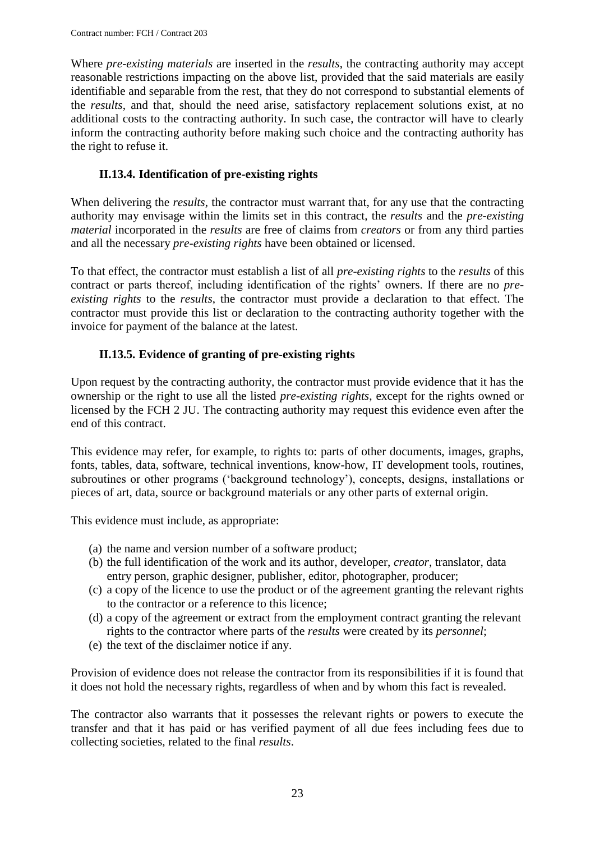Where *pre-existing materials* are inserted in the *results*, the contracting authority may accept reasonable restrictions impacting on the above list, provided that the said materials are easily identifiable and separable from the rest, that they do not correspond to substantial elements of the *results*, and that, should the need arise, satisfactory replacement solutions exist, at no additional costs to the contracting authority. In such case, the contractor will have to clearly inform the contracting authority before making such choice and the contracting authority has the right to refuse it.

# **II.13.4. Identification of pre-existing rights**

<span id="page-22-0"></span>When delivering the *results*, the contractor must warrant that, for any use that the contracting authority may envisage within the limits set in this contract, the *results* and the *pre-existing material* incorporated in the *results* are free of claims from *creators* or from any third parties and all the necessary *pre-existing rights* have been obtained or licensed.

To that effect, the contractor must establish a list of all *pre-existing rights* to the *results* of this contract or parts thereof, including identification of the rights' owners. If there are no *preexisting rights* to the *results*, the contractor must provide a declaration to that effect. The contractor must provide this list or declaration to the contracting authority together with the invoice for payment of the balance at the latest.

# **II.13.5. Evidence of granting of pre-existing rights**

<span id="page-22-1"></span>Upon request by the contracting authority, the contractor must provide evidence that it has the ownership or the right to use all the listed *pre-existing rights*, except for the rights owned or licensed by the FCH 2 JU. The contracting authority may request this evidence even after the end of this contract.

This evidence may refer, for example, to rights to: parts of other documents, images, graphs, fonts, tables, data, software, technical inventions, know-how, IT development tools, routines, subroutines or other programs ('background technology'), concepts, designs, installations or pieces of art, data, source or background materials or any other parts of external origin.

This evidence must include, as appropriate:

- (a) the name and version number of a software product;
- (b) the full identification of the work and its author, developer, *creator*, translator, data entry person, graphic designer, publisher, editor, photographer, producer;
- (c) a copy of the licence to use the product or of the agreement granting the relevant rights to the contractor or a reference to this licence;
- (d) a copy of the agreement or extract from the employment contract granting the relevant rights to the contractor where parts of the *results* were created by its *personnel*;
- (e) the text of the disclaimer notice if any.

Provision of evidence does not release the contractor from its responsibilities if it is found that it does not hold the necessary rights, regardless of when and by whom this fact is revealed.

The contractor also warrants that it possesses the relevant rights or powers to execute the transfer and that it has paid or has verified payment of all due fees including fees due to collecting societies, related to the final *results*.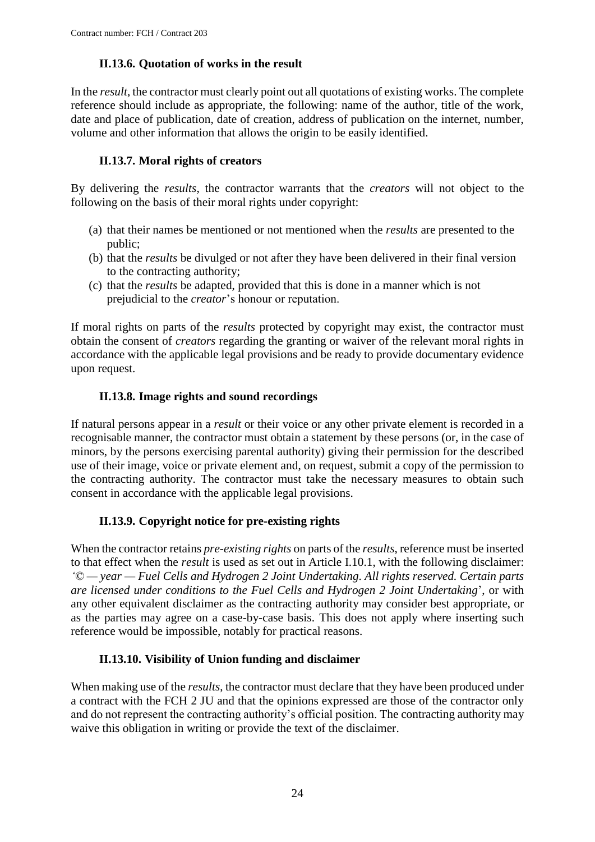### **II.13.6. Quotation of works in the result**

<span id="page-23-0"></span>In the *result*, the contractor must clearly point out all quotations of existing works. The complete reference should include as appropriate, the following: name of the author, title of the work, date and place of publication, date of creation, address of publication on the internet, number, volume and other information that allows the origin to be easily identified.

### **II.13.7. Moral rights of creators**

<span id="page-23-1"></span>By delivering the *results*, the contractor warrants that the *creators* will not object to the following on the basis of their moral rights under copyright:

- (a) that their names be mentioned or not mentioned when the *results* are presented to the public;
- (b) that the *results* be divulged or not after they have been delivered in their final version to the contracting authority;
- (c) that the *results* be adapted, provided that this is done in a manner which is not prejudicial to the *creator*'s honour or reputation.

If moral rights on parts of the *results* protected by copyright may exist, the contractor must obtain the consent of *creators* regarding the granting or waiver of the relevant moral rights in accordance with the applicable legal provisions and be ready to provide documentary evidence upon request.

### **II.13.8. Image rights and sound recordings**

<span id="page-23-2"></span>If natural persons appear in a *result* or their voice or any other private element is recorded in a recognisable manner, the contractor must obtain a statement by these persons (or, in the case of minors, by the persons exercising parental authority) giving their permission for the described use of their image, voice or private element and, on request, submit a copy of the permission to the contracting authority. The contractor must take the necessary measures to obtain such consent in accordance with the applicable legal provisions.

# **II.13.9. Copyright notice for pre-existing rights**

<span id="page-23-3"></span>When the contractor retains *pre-existing rights* on parts of the *results*, reference must be inserted to that effect when the *result* is used as set out in Article I.10.1, with the following disclaimer: *'© — year — Fuel Cells and Hydrogen 2 Joint Undertaking. All rights reserved. Certain parts are licensed under conditions to the Fuel Cells and Hydrogen 2 Joint Undertaking*', or with any other equivalent disclaimer as the contracting authority may consider best appropriate, or as the parties may agree on a case-by-case basis. This does not apply where inserting such reference would be impossible, notably for practical reasons.

### **II.13.10. Visibility of Union funding and disclaimer**

<span id="page-23-4"></span>When making use of the *results*, the contractor must declare that they have been produced under a contract with the FCH 2 JU and that the opinions expressed are those of the contractor only and do not represent the contracting authority's official position. The contracting authority may waive this obligation in writing or provide the text of the disclaimer.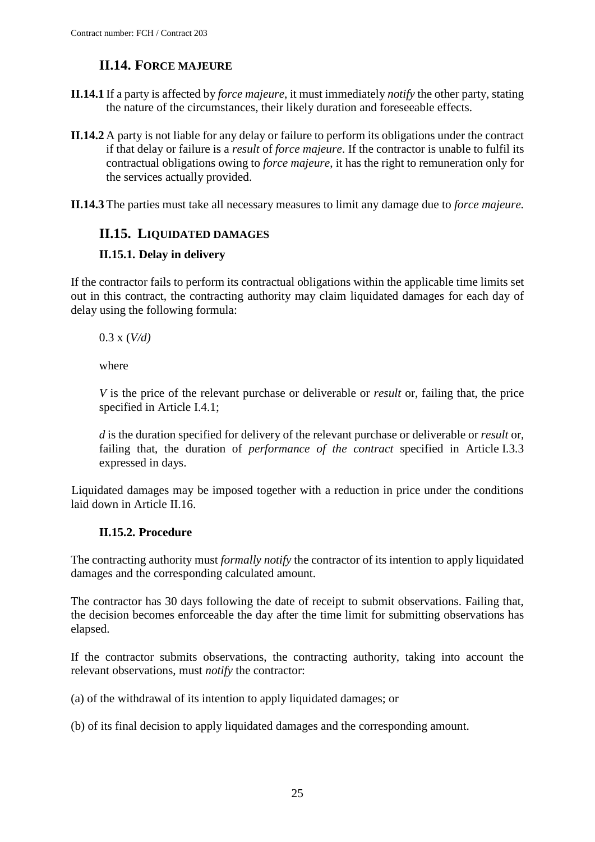# **II.14. FORCE MAJEURE**

- <span id="page-24-0"></span>**II.14.1** If a party is affected by *force majeure*, it must immediately *notify* the other party, stating the nature of the circumstances, their likely duration and foreseeable effects.
- **II.14.2** A party is not liable for any delay or failure to perform its obligations under the contract if that delay or failure is a *result* of *force majeure*. If the contractor is unable to fulfil its contractual obligations owing to *force majeure*, it has the right to remuneration only for the services actually provided.
- **II.14.3** The parties must take all necessary measures to limit any damage due to *force majeure.*

### <span id="page-24-1"></span>**II.15. LIQUIDATED DAMAGES**

#### <span id="page-24-2"></span>**II.15.1. Delay in delivery**

If the contractor fails to perform its contractual obligations within the applicable time limits set out in this contract, the contracting authority may claim liquidated damages for each day of delay using the following formula:

0.3 x (*V/d)*

where

*V* is the price of the relevant purchase or deliverable or *result* or, failing that, the price specified in Article I.4.1;

*d* is the duration specified for delivery of the relevant purchase or deliverable or *result* or, failing that, the duration of *performance of the contract* specified in Article I.3.3 expressed in days.

Liquidated damages may be imposed together with a reduction in price under the conditions laid down in Article II.16.

### **II.15.2. Procedure**

<span id="page-24-3"></span>The contracting authority must *formally notify* the contractor of its intention to apply liquidated damages and the corresponding calculated amount.

The contractor has 30 days following the date of receipt to submit observations. Failing that, the decision becomes enforceable the day after the time limit for submitting observations has elapsed.

If the contractor submits observations, the contracting authority, taking into account the relevant observations, must *notify* the contractor:

(a) of the withdrawal of its intention to apply liquidated damages; or

(b) of its final decision to apply liquidated damages and the corresponding amount.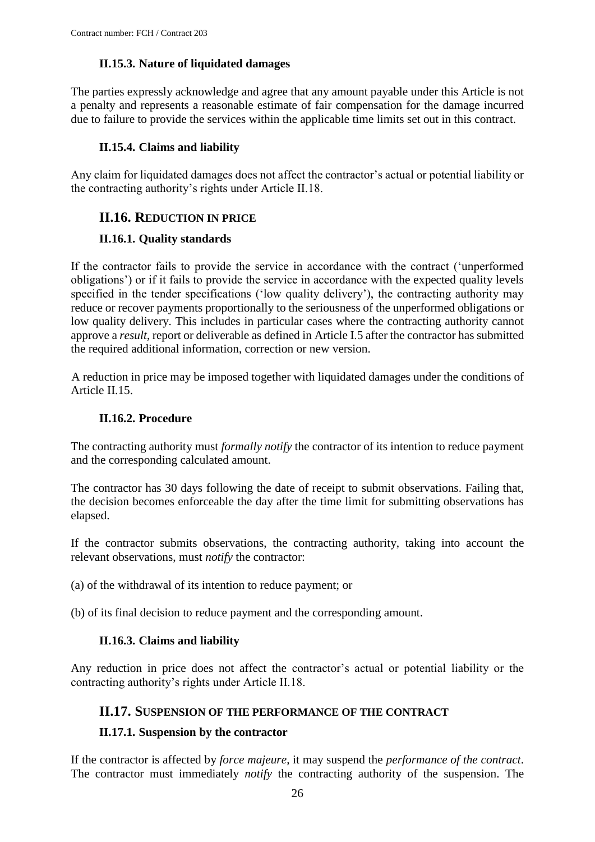### **II.15.3. Nature of liquidated damages**

<span id="page-25-0"></span>The parties expressly acknowledge and agree that any amount payable under this Article is not a penalty and represents a reasonable estimate of fair compensation for the damage incurred due to failure to provide the services within the applicable time limits set out in this contract.

### **II.15.4. Claims and liability**

<span id="page-25-1"></span>Any claim for liquidated damages does not affect the contractor's actual or potential liability or the contracting authority's rights under Article II.18.

# <span id="page-25-2"></span>**II.16. REDUCTION IN PRICE**

### <span id="page-25-3"></span>**II.16.1. Quality standards**

If the contractor fails to provide the service in accordance with the contract ('unperformed obligations') or if it fails to provide the service in accordance with the expected quality levels specified in the tender specifications ('low quality delivery'), the contracting authority may reduce or recover payments proportionally to the seriousness of the unperformed obligations or low quality delivery. This includes in particular cases where the contracting authority cannot approve a *result*, report or deliverable as defined in Article I.5 after the contractor has submitted the required additional information, correction or new version.

A reduction in price may be imposed together with liquidated damages under the conditions of Article II.15.

### **II.16.2. Procedure**

<span id="page-25-4"></span>The contracting authority must *formally notify* the contractor of its intention to reduce payment and the corresponding calculated amount.

The contractor has 30 days following the date of receipt to submit observations. Failing that, the decision becomes enforceable the day after the time limit for submitting observations has elapsed.

If the contractor submits observations, the contracting authority, taking into account the relevant observations, must *notify* the contractor:

(a) of the withdrawal of its intention to reduce payment; or

<span id="page-25-5"></span>(b) of its final decision to reduce payment and the corresponding amount.

### **II.16.3. Claims and liability**

Any reduction in price does not affect the contractor's actual or potential liability or the contracting authority's rights under Article II.18.

### <span id="page-25-6"></span>**II.17. SUSPENSION OF THE PERFORMANCE OF THE CONTRACT**

### <span id="page-25-7"></span>**II.17.1. Suspension by the contractor**

If the contractor is affected by *force majeure*, it may suspend the *performance of the contract*. The contractor must immediately *notify* the contracting authority of the suspension. The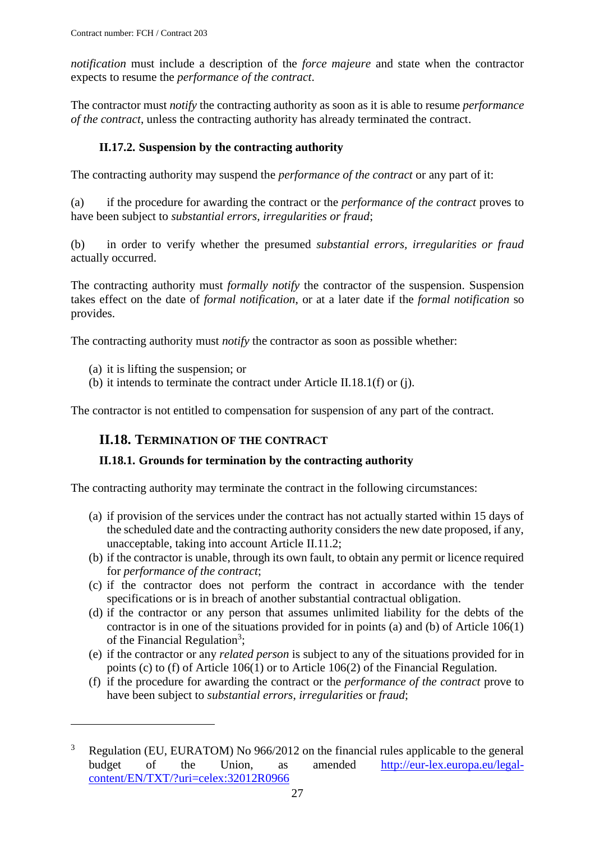*notification* must include a description of the *force majeure* and state when the contractor expects to resume the *performance of the contract*.

The contractor must *notify* the contracting authority as soon as it is able to resume *performance of the contract*, unless the contracting authority has already terminated the contract.

# **II.17.2. Suspension by the contracting authority**

<span id="page-26-0"></span>The contracting authority may suspend the *performance of the contract* or any part of it:

(a) if the procedure for awarding the contract or the *performance of the contract* proves to have been subject to *substantial errors, irregularities or fraud*;

(b) in order to verify whether the presumed *substantial errors, irregularities or fraud* actually occurred.

The contracting authority must *formally notify* the contractor of the suspension. Suspension takes effect on the date of *formal notification*, or at a later date if the *formal notification* so provides.

The contracting authority must *notify* the contractor as soon as possible whether:

(a) it is lifting the suspension; or

 $\overline{a}$ 

(b) it intends to terminate the contract under Article II.18.1(f) or (j).

<span id="page-26-1"></span>The contractor is not entitled to compensation for suspension of any part of the contract.

# **II.18. TERMINATION OF THE CONTRACT**

# <span id="page-26-2"></span>**II.18.1. Grounds for termination by the contracting authority**

The contracting authority may terminate the contract in the following circumstances:

- (a) if provision of the services under the contract has not actually started within 15 days of the scheduled date and the contracting authority considers the new date proposed, if any, unacceptable, taking into account Article II.11.2;
- (b) if the contractor is unable, through its own fault, to obtain any permit or licence required for *performance of the contract*;
- (c) if the contractor does not perform the contract in accordance with the tender specifications or is in breach of another substantial contractual obligation.
- (d) if the contractor or any person that assumes unlimited liability for the debts of the contractor is in one of the situations provided for in points (a) and (b) of Article 106(1) of the Financial Regulation<sup>3</sup>;
- (e) if the contractor or any *related person* is subject to any of the situations provided for in points (c) to (f) of Article 106(1) or to Article 106(2) of the Financial Regulation.
- (f) if the procedure for awarding the contract or the *performance of the contract* prove to have been subject to *substantial errors*, *irregularities* or *fraud*;

 $3$  Regulation (EU, EURATOM) No 966/2012 on the financial rules applicable to the general budget of the Union, as amended [http://eur-lex.europa.eu/legal](http://eur-lex.europa.eu/legal-content/EN/TXT/?uri=celex:32012R0966)[content/EN/TXT/?uri=celex:32012R0966](http://eur-lex.europa.eu/legal-content/EN/TXT/?uri=celex:32012R0966)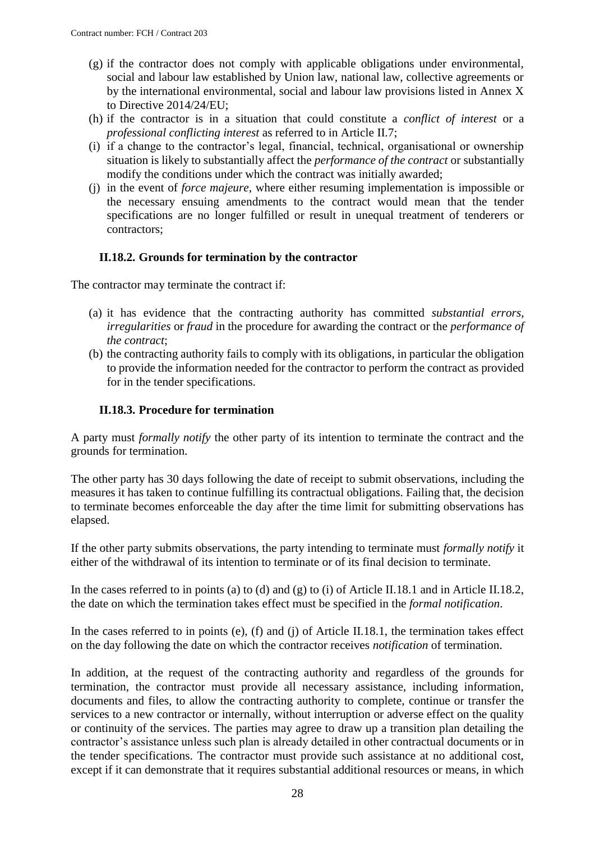- (g) if the contractor does not comply with applicable obligations under environmental, social and labour law established by Union law, national law, collective agreements or by the international environmental, social and labour law provisions listed in Annex X to Directive 2014/24/EU;
- (h) if the contractor is in a situation that could constitute a *conflict of interest* or a *professional conflicting interest* as referred to in Article II.7;
- (i) if a change to the contractor's legal, financial, technical, organisational or ownership situation is likely to substantially affect the *performance of the contract* or substantially modify the conditions under which the contract was initially awarded;
- (j) in the event of *force majeure*, where either resuming implementation is impossible or the necessary ensuing amendments to the contract would mean that the tender specifications are no longer fulfilled or result in unequal treatment of tenderers or contractors;

### **II.18.2. Grounds for termination by the contractor**

<span id="page-27-0"></span>The contractor may terminate the contract if:

- (a) it has evidence that the contracting authority has committed *substantial errors*, *irregularities* or *fraud* in the procedure for awarding the contract or the *performance of the contract*;
- (b) the contracting authority fails to comply with its obligations, in particular the obligation to provide the information needed for the contractor to perform the contract as provided for in the tender specifications.

#### **II.18.3. Procedure for termination**

<span id="page-27-1"></span>A party must *formally notify* the other party of its intention to terminate the contract and the grounds for termination.

The other party has 30 days following the date of receipt to submit observations, including the measures it has taken to continue fulfilling its contractual obligations. Failing that, the decision to terminate becomes enforceable the day after the time limit for submitting observations has elapsed.

If the other party submits observations, the party intending to terminate must *formally notify* it either of the withdrawal of its intention to terminate or of its final decision to terminate.

In the cases referred to in points (a) to (d) and (g) to (i) of Article II.18.1 and in Article II.18.2, the date on which the termination takes effect must be specified in the *formal notification*.

In the cases referred to in points (e), (f) and (j) of Article II.18.1, the termination takes effect on the day following the date on which the contractor receives *notification* of termination.

In addition, at the request of the contracting authority and regardless of the grounds for termination, the contractor must provide all necessary assistance, including information, documents and files, to allow the contracting authority to complete, continue or transfer the services to a new contractor or internally, without interruption or adverse effect on the quality or continuity of the services. The parties may agree to draw up a transition plan detailing the contractor's assistance unless such plan is already detailed in other contractual documents or in the tender specifications. The contractor must provide such assistance at no additional cost, except if it can demonstrate that it requires substantial additional resources or means, in which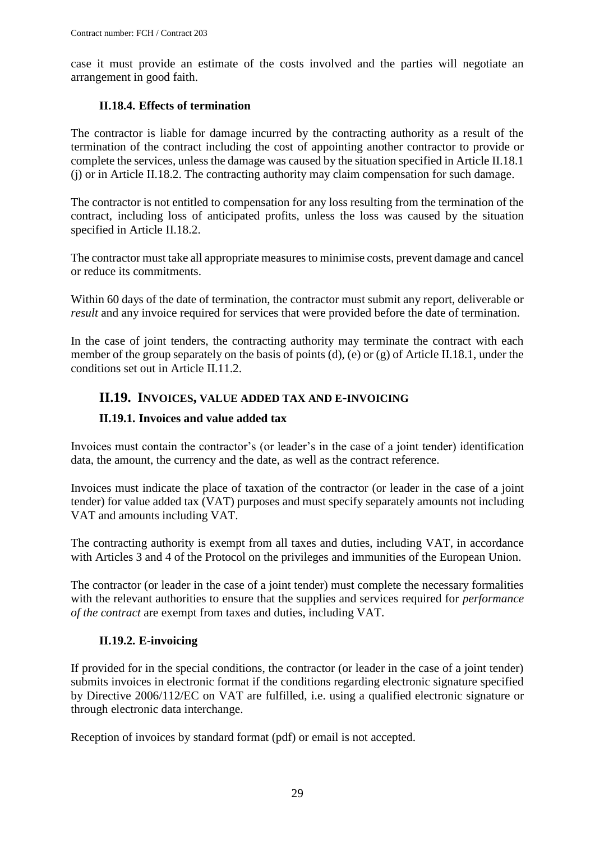case it must provide an estimate of the costs involved and the parties will negotiate an arrangement in good faith.

### **II.18.4. Effects of termination**

<span id="page-28-0"></span>The contractor is liable for damage incurred by the contracting authority as a result of the termination of the contract including the cost of appointing another contractor to provide or complete the services, unless the damage was caused by the situation specified in Article II.18.1 (j) or in Article II.18.2. The contracting authority may claim compensation for such damage.

The contractor is not entitled to compensation for any loss resulting from the termination of the contract, including loss of anticipated profits, unless the loss was caused by the situation specified in Article II.18.2.

The contractor must take all appropriate measures to minimise costs, prevent damage and cancel or reduce its commitments.

Within 60 days of the date of termination, the contractor must submit any report, deliverable or *result* and any invoice required for services that were provided before the date of termination.

In the case of joint tenders, the contracting authority may terminate the contract with each member of the group separately on the basis of points (d), (e) or (g) of Article II.18.1, under the conditions set out in Article II.11.2.

# <span id="page-28-1"></span>**II.19. INVOICES, VALUE ADDED TAX AND E-INVOICING**

### <span id="page-28-2"></span>**II.19.1. Invoices and value added tax**

Invoices must contain the contractor's (or leader's in the case of a joint tender) identification data, the amount, the currency and the date, as well as the contract reference.

Invoices must indicate the place of taxation of the contractor (or leader in the case of a joint tender) for value added tax (VAT) purposes and must specify separately amounts not including VAT and amounts including VAT.

The contracting authority is exempt from all taxes and duties, including VAT, in accordance with Articles 3 and 4 of the Protocol on the privileges and immunities of the European Union.

The contractor (or leader in the case of a joint tender) must complete the necessary formalities with the relevant authorities to ensure that the supplies and services required for *performance of the contract* are exempt from taxes and duties, including VAT.

### **II.19.2. E-invoicing**

<span id="page-28-3"></span>If provided for in the special conditions, the contractor (or leader in the case of a joint tender) submits invoices in electronic format if the conditions regarding electronic signature specified by Directive 2006/112/EC on VAT are fulfilled, i.e. using a qualified electronic signature or through electronic data interchange.

Reception of invoices by standard format (pdf) or email is not accepted.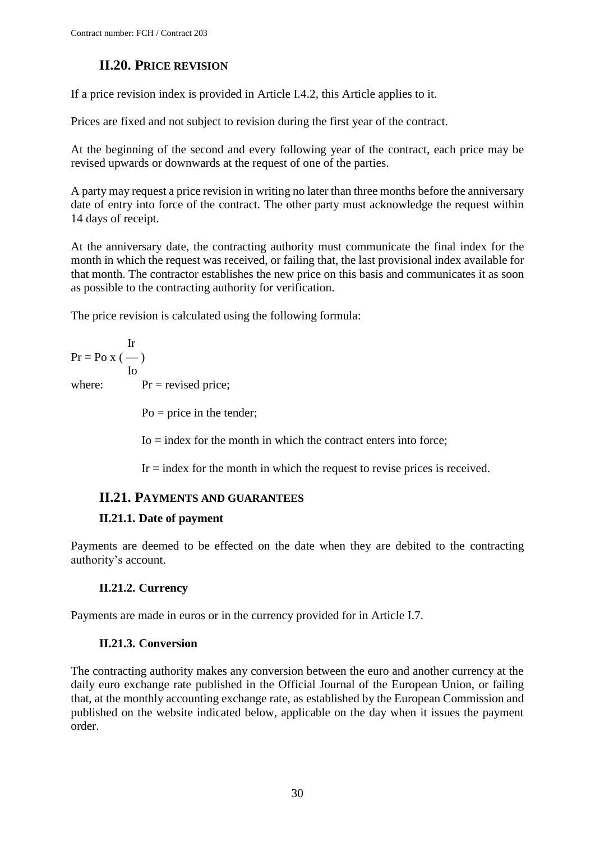# **II.20. PRICE REVISION**

<span id="page-29-0"></span>If a price revision index is provided in Article I.4.2, this Article applies to it.

Prices are fixed and not subject to revision during the first year of the contract.

At the beginning of the second and every following year of the contract, each price may be revised upwards or downwards at the request of one of the parties.

A party may request a price revision in writing no later than three months before the anniversary date of entry into force of the contract. The other party must acknowledge the request within 14 days of receipt.

At the anniversary date, the contracting authority must communicate the final index for the month in which the request was received, or failing that, the last provisional index available for that month. The contractor establishes the new price on this basis and communicates it as soon as possible to the contracting authority for verification.

The price revision is calculated using the following formula:

Ir  $Pr = PoX$  (--) Io where:  $Pr = \text{revised price};$  $Po = price$  in the tender;

 $I_0$  = index for the month in which the contract enters into force;

 $Ir = index$  for the month in which the request to revise prices is received.

# <span id="page-29-1"></span>**II.21. PAYMENTS AND GUARANTEES**

# <span id="page-29-2"></span>**II.21.1. Date of payment**

Payments are deemed to be effected on the date when they are debited to the contracting authority's account.

# **II.21.2. Currency**

<span id="page-29-3"></span>Payments are made in euros or in the currency provided for in Article I.7.

# **II.21.3. Conversion**

<span id="page-29-4"></span>The contracting authority makes any conversion between the euro and another currency at the daily euro exchange rate published in the Official Journal of the European Union, or failing that, at the monthly accounting exchange rate, as established by the European Commission and published on the website indicated below, applicable on the day when it issues the payment order.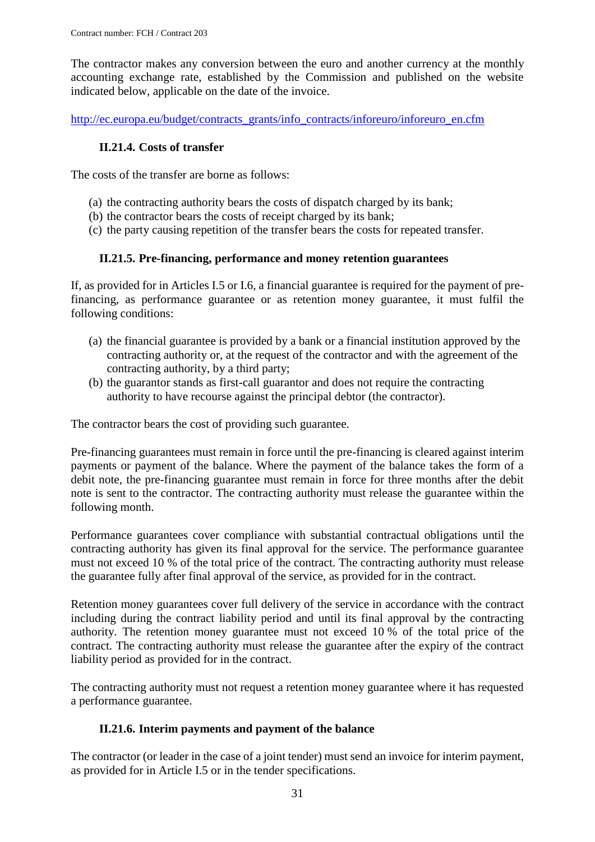The contractor makes any conversion between the euro and another currency at the monthly accounting exchange rate, established by the Commission and published on the website indicated below, applicable on the date of the invoice.

<span id="page-30-0"></span>[http://ec.europa.eu/budget/contracts\\_grants/info\\_contracts/inforeuro/inforeuro\\_en.cfm](http://ec.europa.eu/budget/contracts_grants/info_contracts/inforeuro/inforeuro_en.cfm)

### **II.21.4. Costs of transfer**

The costs of the transfer are borne as follows:

- (a) the contracting authority bears the costs of dispatch charged by its bank;
- (b) the contractor bears the costs of receipt charged by its bank;
- (c) the party causing repetition of the transfer bears the costs for repeated transfer.

### **II.21.5. Pre-financing, performance and money retention guarantees**

<span id="page-30-1"></span>If, as provided for in Articles I.5 or I.6*,* a financial guarantee is required for the payment of prefinancing, as performance guarantee or as retention money guarantee, it must fulfil the following conditions:

- (a) the financial guarantee is provided by a bank or a financial institution approved by the contracting authority or, at the request of the contractor and with the agreement of the contracting authority, by a third party;
- (b) the guarantor stands as first-call guarantor and does not require the contracting authority to have recourse against the principal debtor (the contractor).

The contractor bears the cost of providing such guarantee.

Pre-financing guarantees must remain in force until the pre-financing is cleared against interim payments or payment of the balance. Where the payment of the balance takes the form of a debit note, the pre-financing guarantee must remain in force for three months after the debit note is sent to the contractor. The contracting authority must release the guarantee within the following month.

Performance guarantees cover compliance with substantial contractual obligations until the contracting authority has given its final approval for the service. The performance guarantee must not exceed 10 % of the total price of the contract. The contracting authority must release the guarantee fully after final approval of the service, as provided for in the contract.

Retention money guarantees cover full delivery of the service in accordance with the contract including during the contract liability period and until its final approval by the contracting authority. The retention money guarantee must not exceed 10 % of the total price of the contract. The contracting authority must release the guarantee after the expiry of the contract liability period as provided for in the contract.

The contracting authority must not request a retention money guarantee where it has requested a performance guarantee.

### **II.21.6. Interim payments and payment of the balance**

<span id="page-30-2"></span>The contractor (or leader in the case of a joint tender) must send an invoice for interim payment, as provided for in Article I.5 or in the tender specifications.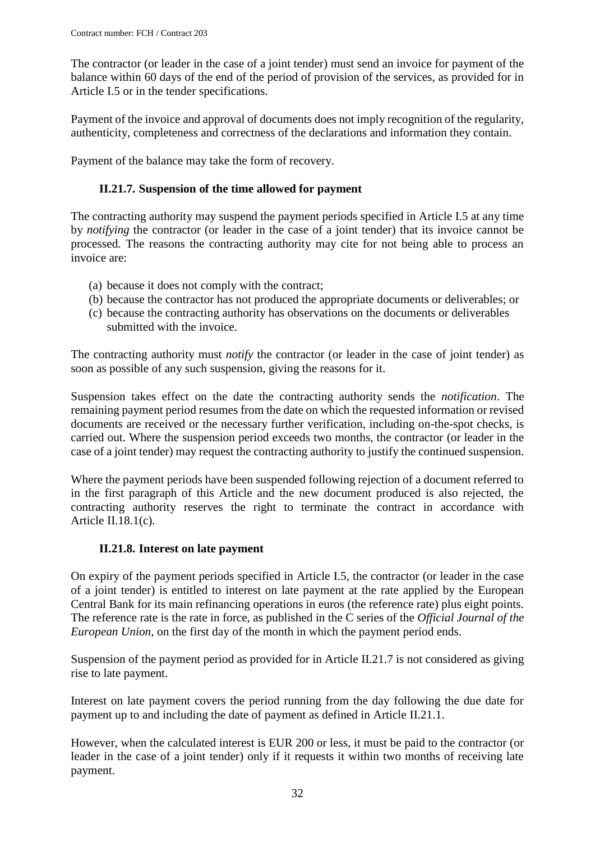The contractor (or leader in the case of a joint tender) must send an invoice for payment of the balance within 60 days of the end of the period of provision of the services, as provided for in Article I.5 or in the tender specifications.

Payment of the invoice and approval of documents does not imply recognition of the regularity, authenticity, completeness and correctness of the declarations and information they contain.

<span id="page-31-0"></span>Payment of the balance may take the form of recovery.

### **II.21.7. Suspension of the time allowed for payment**

The contracting authority may suspend the payment periods specified in Article I.5 at any time by *notifying* the contractor (or leader in the case of a joint tender) that its invoice cannot be processed. The reasons the contracting authority may cite for not being able to process an invoice are:

- (a) because it does not comply with the contract;
- (b) because the contractor has not produced the appropriate documents or deliverables; or
- (c) because the contracting authority has observations on the documents or deliverables submitted with the invoice.

The contracting authority must *notify* the contractor (or leader in the case of joint tender) as soon as possible of any such suspension, giving the reasons for it.

Suspension takes effect on the date the contracting authority sends the *notification*. The remaining payment period resumes from the date on which the requested information or revised documents are received or the necessary further verification, including on-the-spot checks, is carried out. Where the suspension period exceeds two months, the contractor (or leader in the case of a joint tender) may request the contracting authority to justify the continued suspension.

Where the payment periods have been suspended following rejection of a document referred to in the first paragraph of this Article and the new document produced is also rejected, the contracting authority reserves the right to terminate the contract in accordance with Article II.18.1(c)*.*

### **II.21.8. Interest on late payment**

<span id="page-31-1"></span>On expiry of the payment periods specified in Article I.5, the contractor (or leader in the case of a joint tender) is entitled to interest on late payment at the rate applied by the European Central Bank for its main refinancing operations in euros (the reference rate) plus eight points. The reference rate is the rate in force, as published in the C series of the *Official Journal of the European Union,* on the first day of the month in which the payment period ends.

Suspension of the payment period as provided for in Article II.21.7 is not considered as giving rise to late payment.

Interest on late payment covers the period running from the day following the due date for payment up to and including the date of payment as defined in Article II.21.1.

However, when the calculated interest is EUR 200 or less, it must be paid to the contractor (or leader in the case of a joint tender) only if it requests it within two months of receiving late payment.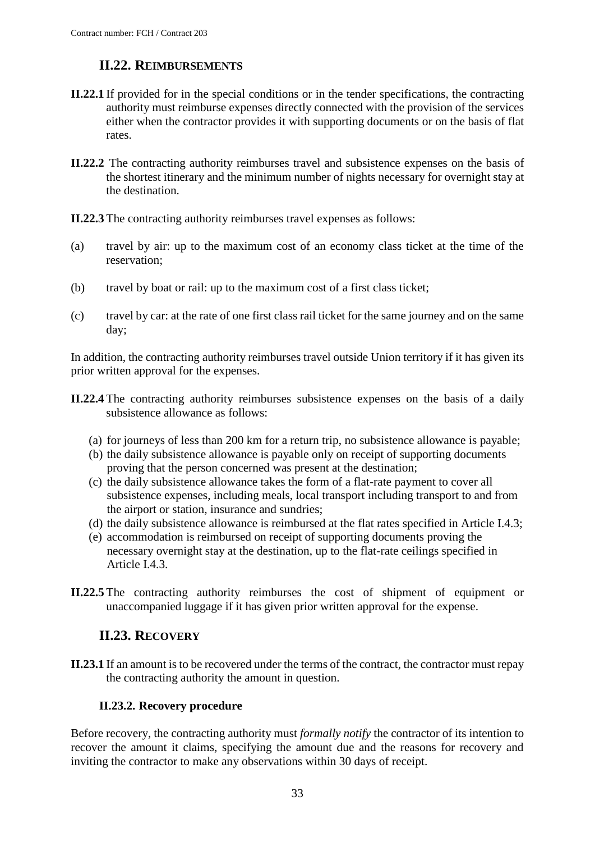# **II.22. REIMBURSEMENTS**

- <span id="page-32-0"></span>**II.22.1** If provided for in the special conditions or in the tender specifications, the contracting authority must reimburse expenses directly connected with the provision of the services either when the contractor provides it with supporting documents or on the basis of flat rates.
- **II.22.2** The contracting authority reimburses travel and subsistence expenses on the basis of the shortest itinerary and the minimum number of nights necessary for overnight stay at the destination.

**II.22.3** The contracting authority reimburses travel expenses as follows:

- (a) travel by air: up to the maximum cost of an economy class ticket at the time of the reservation;
- (b) travel by boat or rail: up to the maximum cost of a first class ticket;
- (c) travel by car: at the rate of one first class rail ticket for the same journey and on the same day;

In addition, the contracting authority reimburses travel outside Union territory if it has given its prior written approval for the expenses.

- **II.22.4** The contracting authority reimburses subsistence expenses on the basis of a daily subsistence allowance as follows:
	- (a) for journeys of less than 200 km for a return trip, no subsistence allowance is payable;
	- (b) the daily subsistence allowance is payable only on receipt of supporting documents proving that the person concerned was present at the destination;
	- (c) the daily subsistence allowance takes the form of a flat-rate payment to cover all subsistence expenses, including meals, local transport including transport to and from the airport or station, insurance and sundries;
	- (d) the daily subsistence allowance is reimbursed at the flat rates specified in Article I.4.3;
	- (e) accommodation is reimbursed on receipt of supporting documents proving the necessary overnight stay at the destination, up to the flat-rate ceilings specified in Article I.4.3.
- **II.22.5** The contracting authority reimburses the cost of shipment of equipment or unaccompanied luggage if it has given prior written approval for the expense.

# **II.23. RECOVERY**

<span id="page-32-1"></span>**II.23.1** If an amount is to be recovered under the terms of the contract, the contractor must repay the contracting authority the amount in question.

### **II.23.2. Recovery procedure**

<span id="page-32-2"></span>Before recovery, the contracting authority must *formally notify* the contractor of its intention to recover the amount it claims, specifying the amount due and the reasons for recovery and inviting the contractor to make any observations within 30 days of receipt.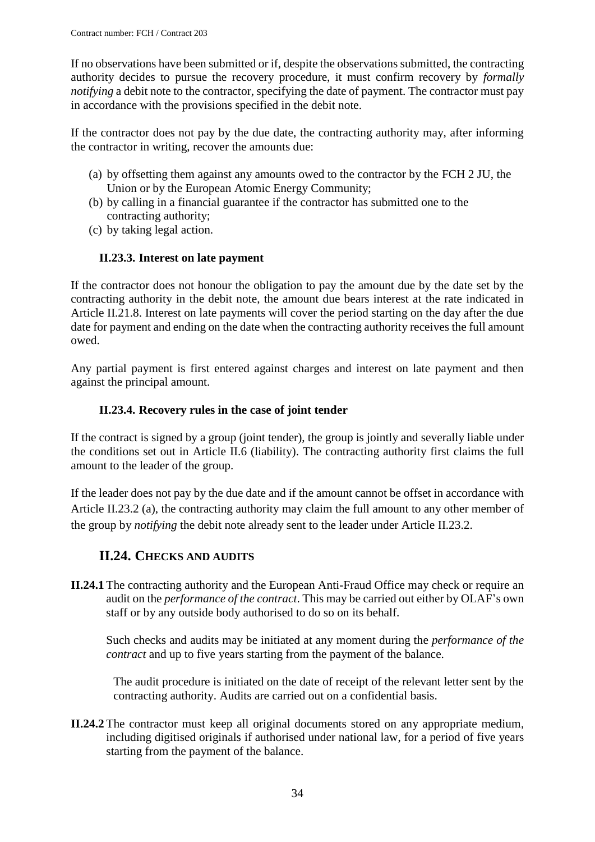If no observations have been submitted or if, despite the observations submitted, the contracting authority decides to pursue the recovery procedure, it must confirm recovery by *formally notifying* a debit note to the contractor, specifying the date of payment. The contractor must pay in accordance with the provisions specified in the debit note.

If the contractor does not pay by the due date, the contracting authority may, after informing the contractor in writing, recover the amounts due:

- (a) by offsetting them against any amounts owed to the contractor by the FCH 2 JU, the Union or by the European Atomic Energy Community;
- (b) by calling in a financial guarantee if the contractor has submitted one to the contracting authority;
- (c) by taking legal action.

### **II.23.3. Interest on late payment**

<span id="page-33-0"></span>If the contractor does not honour the obligation to pay the amount due by the date set by the contracting authority in the debit note, the amount due bears interest at the rate indicated in Article II.21.8. Interest on late payments will cover the period starting on the day after the due date for payment and ending on the date when the contracting authority receives the full amount owed.

Any partial payment is first entered against charges and interest on late payment and then against the principal amount.

#### **II.23.4. Recovery rules in the case of joint tender**

<span id="page-33-1"></span>If the contract is signed by a group (joint tender), the group is jointly and severally liable under the conditions set out in Article II.6 (liability). The contracting authority first claims the full amount to the leader of the group.

If the leader does not pay by the due date and if the amount cannot be offset in accordance with Article II.23.2 (a), the contracting authority may claim the full amount to any other member of the group by *notifying* the debit note already sent to the leader under Article II.23.2.

# **II.24. CHECKS AND AUDITS**

<span id="page-33-2"></span>**II.24.1** The contracting authority and the European Anti-Fraud Office may check or require an audit on the *performance of the contract*. This may be carried out either by OLAF's own staff or by any outside body authorised to do so on its behalf.

Such checks and audits may be initiated at any moment during the *performance of the contract* and up to five years starting from the payment of the balance.

The audit procedure is initiated on the date of receipt of the relevant letter sent by the contracting authority. Audits are carried out on a confidential basis.

**II.24.2** The contractor must keep all original documents stored on any appropriate medium, including digitised originals if authorised under national law, for a period of five years starting from the payment of the balance.